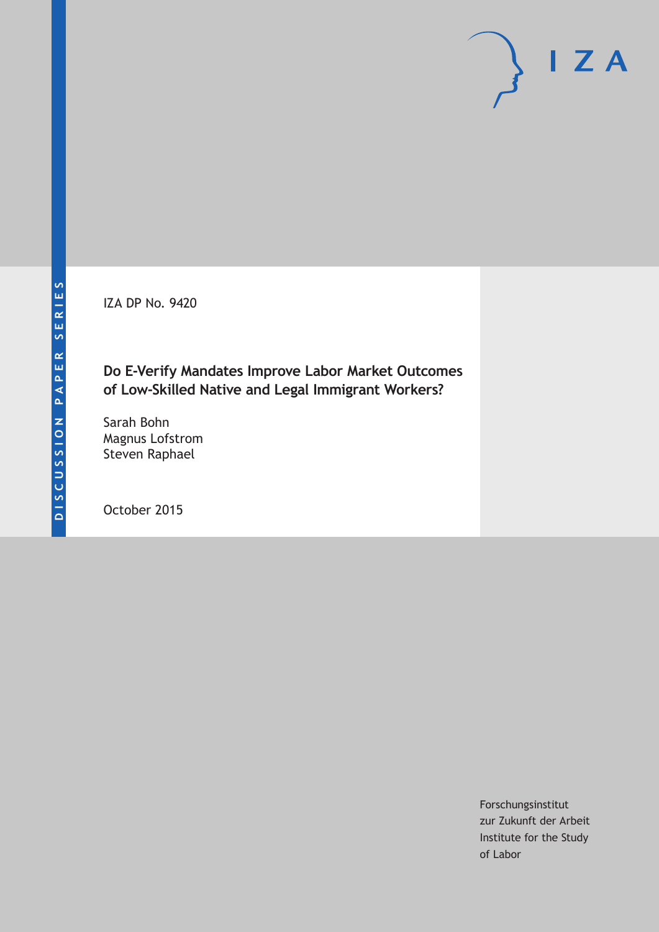IZA DP No. 9420

# **Do E-Verify Mandates Improve Labor Market Outcomes of Low-Skilled Native and Legal Immigrant Workers?**

Sarah Bohn Magnus Lofstrom Steven Raphael

October 2015

Forschungsinstitut zur Zukunft der Arbeit Institute for the Study of Labor

 $I Z A$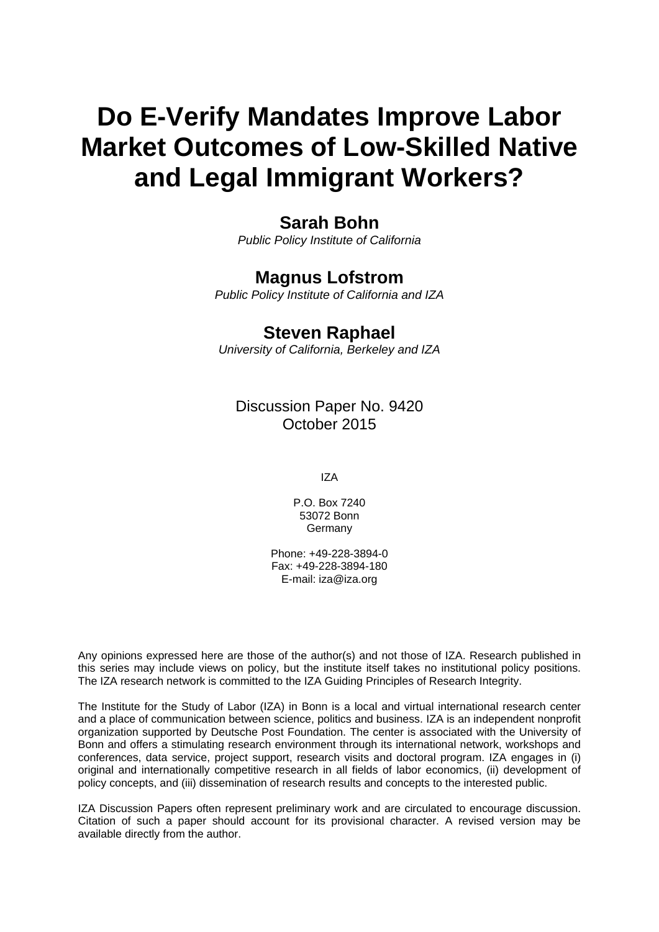# **Do E-Verify Mandates Improve Labor Market Outcomes of Low-Skilled Native and Legal Immigrant Workers?**

# **Sarah Bohn**

*Public Policy Institute of California* 

# **Magnus Lofstrom**

*Public Policy Institute of California and IZA* 

# **Steven Raphael**

*University of California, Berkeley and IZA*

Discussion Paper No. 9420 October 2015

IZA

P.O. Box 7240 53072 Bonn **Germany** 

Phone: +49-228-3894-0 Fax: +49-228-3894-180 E-mail: iza@iza.org

Any opinions expressed here are those of the author(s) and not those of IZA. Research published in this series may include views on policy, but the institute itself takes no institutional policy positions. The IZA research network is committed to the IZA Guiding Principles of Research Integrity.

The Institute for the Study of Labor (IZA) in Bonn is a local and virtual international research center and a place of communication between science, politics and business. IZA is an independent nonprofit organization supported by Deutsche Post Foundation. The center is associated with the University of Bonn and offers a stimulating research environment through its international network, workshops and conferences, data service, project support, research visits and doctoral program. IZA engages in (i) original and internationally competitive research in all fields of labor economics, (ii) development of policy concepts, and (iii) dissemination of research results and concepts to the interested public.

IZA Discussion Papers often represent preliminary work and are circulated to encourage discussion. Citation of such a paper should account for its provisional character. A revised version may be available directly from the author.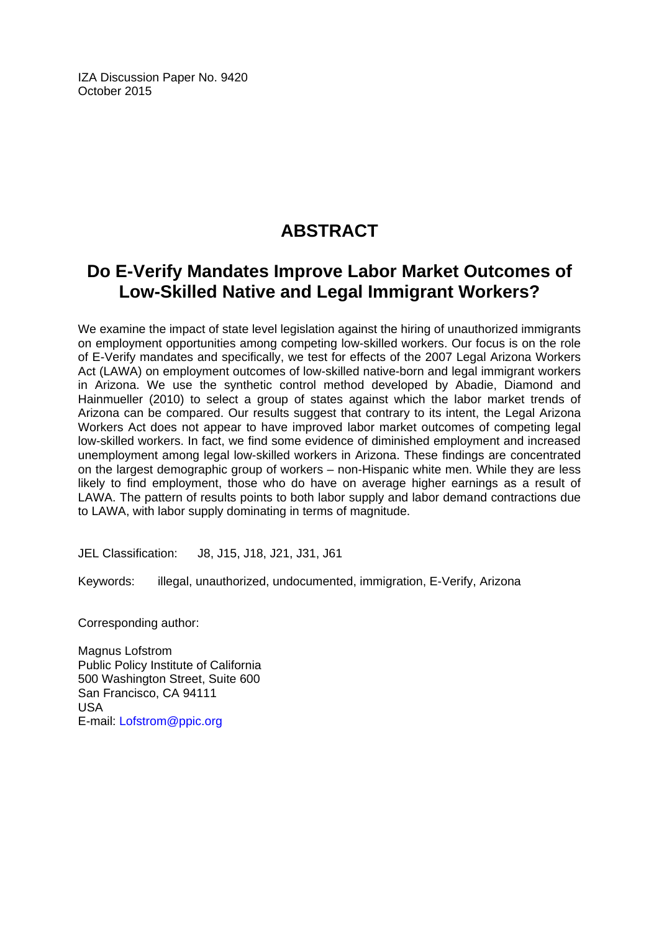IZA Discussion Paper No. 9420 October 2015

# **ABSTRACT**

# **Do E-Verify Mandates Improve Labor Market Outcomes of Low-Skilled Native and Legal Immigrant Workers?**

We examine the impact of state level legislation against the hiring of unauthorized immigrants on employment opportunities among competing low-skilled workers. Our focus is on the role of E-Verify mandates and specifically, we test for effects of the 2007 Legal Arizona Workers Act (LAWA) on employment outcomes of low-skilled native-born and legal immigrant workers in Arizona. We use the synthetic control method developed by Abadie, Diamond and Hainmueller (2010) to select a group of states against which the labor market trends of Arizona can be compared. Our results suggest that contrary to its intent, the Legal Arizona Workers Act does not appear to have improved labor market outcomes of competing legal low-skilled workers. In fact, we find some evidence of diminished employment and increased unemployment among legal low-skilled workers in Arizona. These findings are concentrated on the largest demographic group of workers – non-Hispanic white men. While they are less likely to find employment, those who do have on average higher earnings as a result of LAWA. The pattern of results points to both labor supply and labor demand contractions due to LAWA, with labor supply dominating in terms of magnitude.

JEL Classification: J8, J15, J18, J21, J31, J61

Keywords: illegal, unauthorized, undocumented, immigration, E-Verify, Arizona

Corresponding author:

Magnus Lofstrom Public Policy Institute of California 500 Washington Street, Suite 600 San Francisco, CA 94111 USA E-mail: Lofstrom@ppic.org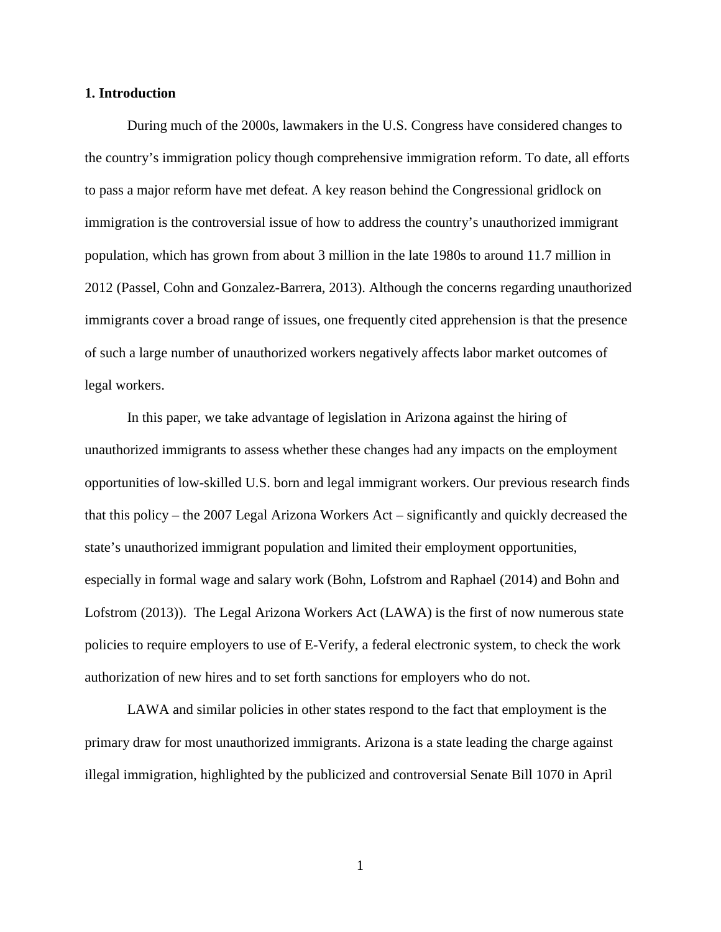#### **1. Introduction**

During much of the 2000s, lawmakers in the U.S. Congress have considered changes to the country's immigration policy though comprehensive immigration reform. To date, all efforts to pass a major reform have met defeat. A key reason behind the Congressional gridlock on immigration is the controversial issue of how to address the country's unauthorized immigrant population, which has grown from about 3 million in the late 1980s to around 11.7 million in 2012 (Passel, Cohn and Gonzalez-Barrera, 2013). Although the concerns regarding unauthorized immigrants cover a broad range of issues, one frequently cited apprehension is that the presence of such a large number of unauthorized workers negatively affects labor market outcomes of legal workers.

In this paper, we take advantage of legislation in Arizona against the hiring of unauthorized immigrants to assess whether these changes had any impacts on the employment opportunities of low-skilled U.S. born and legal immigrant workers. Our previous research finds that this policy – the 2007 Legal Arizona Workers Act – significantly and quickly decreased the state's unauthorized immigrant population and limited their employment opportunities, especially in formal wage and salary work (Bohn, Lofstrom and Raphael (2014) and Bohn and Lofstrom (2013)). The Legal Arizona Workers Act (LAWA) is the first of now numerous state policies to require employers to use of E-Verify, a federal electronic system, to check the work authorization of new hires and to set forth sanctions for employers who do not.

LAWA and similar policies in other states respond to the fact that employment is the primary draw for most unauthorized immigrants. Arizona is a state leading the charge against illegal immigration, highlighted by the publicized and controversial Senate Bill 1070 in April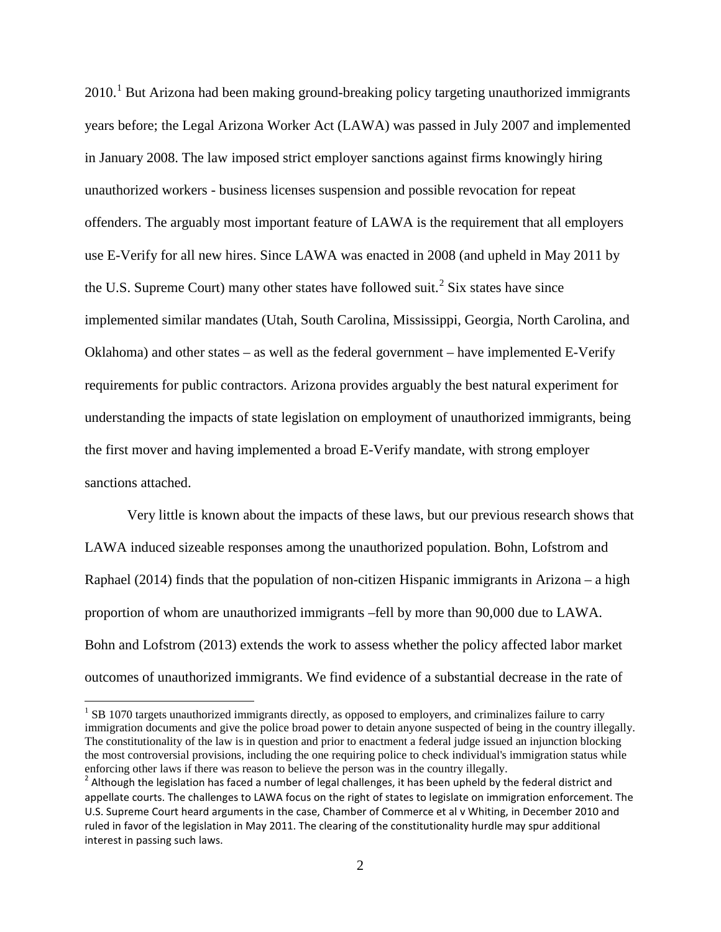$2010<sup>1</sup>$  $2010<sup>1</sup>$  $2010<sup>1</sup>$  But Arizona had been making ground-breaking policy targeting unauthorized immigrants years before; the Legal Arizona Worker Act (LAWA) was passed in July 2007 and implemented in January 2008. The law imposed strict employer sanctions against firms knowingly hiring unauthorized workers - business licenses suspension and possible revocation for repeat offenders. The arguably most important feature of LAWA is the requirement that all employers use E-Verify for all new hires. Since LAWA was enacted in 2008 (and upheld in May 2011 by the U.S. Supreme Court) many other states have followed suit.<sup>[2](#page-4-1)</sup> Six states have since implemented similar mandates (Utah, South Carolina, Mississippi, Georgia, North Carolina, and Oklahoma) and other states – as well as the federal government – have implemented E-Verify requirements for public contractors. Arizona provides arguably the best natural experiment for understanding the impacts of state legislation on employment of unauthorized immigrants, being the first mover and having implemented a broad E-Verify mandate, with strong employer sanctions attached.

Very little is known about the impacts of these laws, but our previous research shows that LAWA induced sizeable responses among the unauthorized population. Bohn, Lofstrom and Raphael (2014) finds that the population of non-citizen Hispanic immigrants in Arizona – a high proportion of whom are unauthorized immigrants –fell by more than 90,000 due to LAWA. Bohn and Lofstrom (2013) extends the work to assess whether the policy affected labor market outcomes of unauthorized immigrants. We find evidence of a substantial decrease in the rate of

<span id="page-4-0"></span><sup>&</sup>lt;sup>1</sup> SB 1070 targets unauthorized immigrants directly, as opposed to employers, and criminalizes failure to carry immigration documents and give the police broad power to detain anyone suspected of being in the country illegally. The constitutionality of the law is in question and prior to enactment a federal judge issued an injunction blocking the most controversial provisions, including the one requiring police to check individual's immigration status while enforcing other laws if there was reason to believe the person was in the country illegally.

<span id="page-4-1"></span><sup>&</sup>lt;sup>2</sup> Although the legislation has faced a number of legal challenges, it has been upheld by the federal district and appellate courts. The challenges to LAWA focus on the right of states to legislate on immigration enforcement. The U.S. Supreme Court heard arguments in the case, Chamber of Commerce et al v Whiting, in December 2010 and ruled in favor of the legislation in May 2011. The clearing of the constitutionality hurdle may spur additional interest in passing such laws.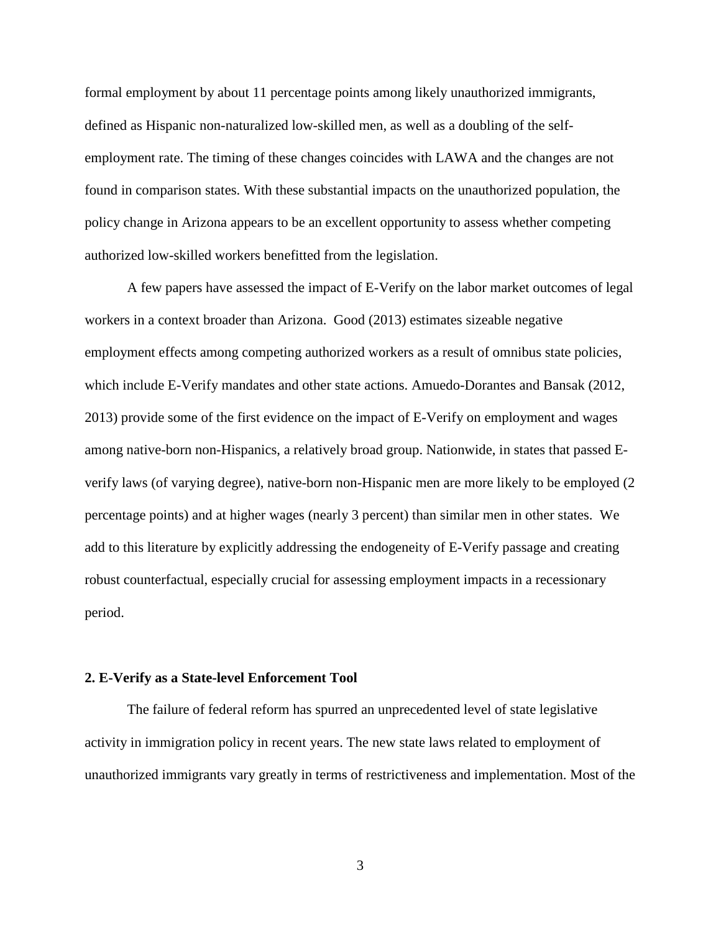formal employment by about 11 percentage points among likely unauthorized immigrants, defined as Hispanic non-naturalized low-skilled men, as well as a doubling of the selfemployment rate. The timing of these changes coincides with LAWA and the changes are not found in comparison states. With these substantial impacts on the unauthorized population, the policy change in Arizona appears to be an excellent opportunity to assess whether competing authorized low-skilled workers benefitted from the legislation.

A few papers have assessed the impact of E-Verify on the labor market outcomes of legal workers in a context broader than Arizona. Good (2013) estimates sizeable negative employment effects among competing authorized workers as a result of omnibus state policies, which include E-Verify mandates and other state actions. Amuedo-Dorantes and Bansak (2012, 2013) provide some of the first evidence on the impact of E-Verify on employment and wages among native-born non-Hispanics, a relatively broad group. Nationwide, in states that passed Everify laws (of varying degree), native-born non-Hispanic men are more likely to be employed (2 percentage points) and at higher wages (nearly 3 percent) than similar men in other states. We add to this literature by explicitly addressing the endogeneity of E-Verify passage and creating robust counterfactual, especially crucial for assessing employment impacts in a recessionary period.

#### **2. E-Verify as a State-level Enforcement Tool**

The failure of federal reform has spurred an unprecedented level of state legislative activity in immigration policy in recent years. The new state laws related to employment of unauthorized immigrants vary greatly in terms of restrictiveness and implementation. Most of the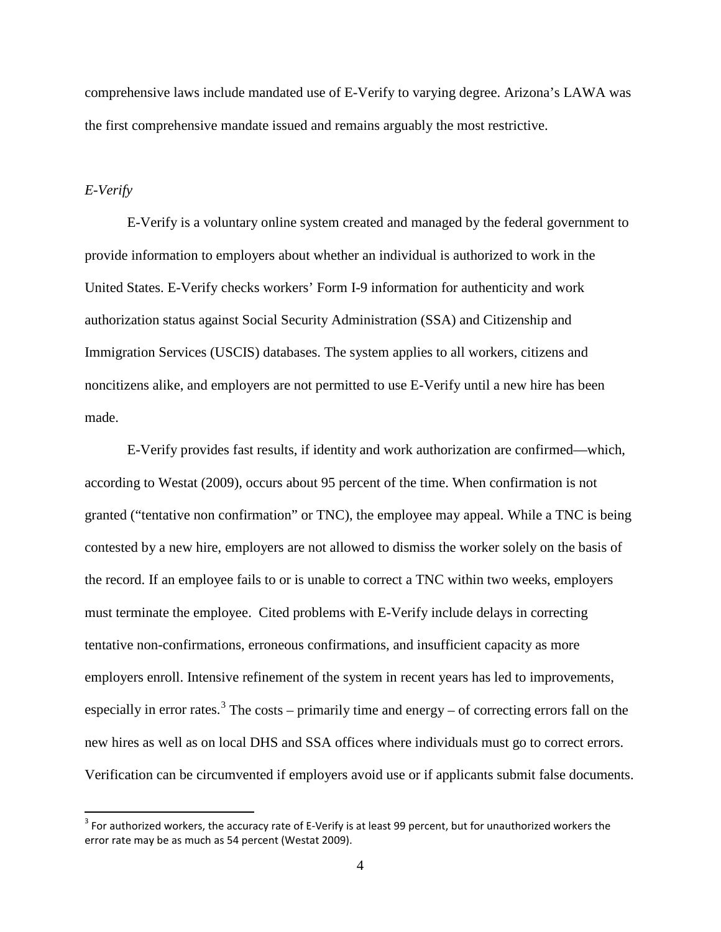comprehensive laws include mandated use of E-Verify to varying degree. Arizona's LAWA was the first comprehensive mandate issued and remains arguably the most restrictive.

#### *E-Verify*

E-Verify is a voluntary online system created and managed by the federal government to provide information to employers about whether an individual is authorized to work in the United States. E-Verify checks workers' Form I-9 information for authenticity and work authorization status against Social Security Administration (SSA) and Citizenship and Immigration Services (USCIS) databases. The system applies to all workers, citizens and noncitizens alike, and employers are not permitted to use E-Verify until a new hire has been made.

E-Verify provides fast results, if identity and work authorization are confirmed—which, according to Westat (2009), occurs about 95 percent of the time. When confirmation is not granted ("tentative non confirmation" or TNC), the employee may appeal. While a TNC is being contested by a new hire, employers are not allowed to dismiss the worker solely on the basis of the record. If an employee fails to or is unable to correct a TNC within two weeks, employers must terminate the employee. Cited problems with E-Verify include delays in correcting tentative non-confirmations, erroneous confirmations, and insufficient capacity as more employers enroll. Intensive refinement of the system in recent years has led to improvements, especially in error rates.<sup>[3](#page-6-0)</sup> The costs – primarily time and energy – of correcting errors fall on the new hires as well as on local DHS and SSA offices where individuals must go to correct errors. Verification can be circumvented if employers avoid use or if applicants submit false documents.

<span id="page-6-0"></span> $3$  For authorized workers, the accuracy rate of E-Verify is at least 99 percent, but for unauthorized workers the error rate may be as much as 54 percent (Westat 2009).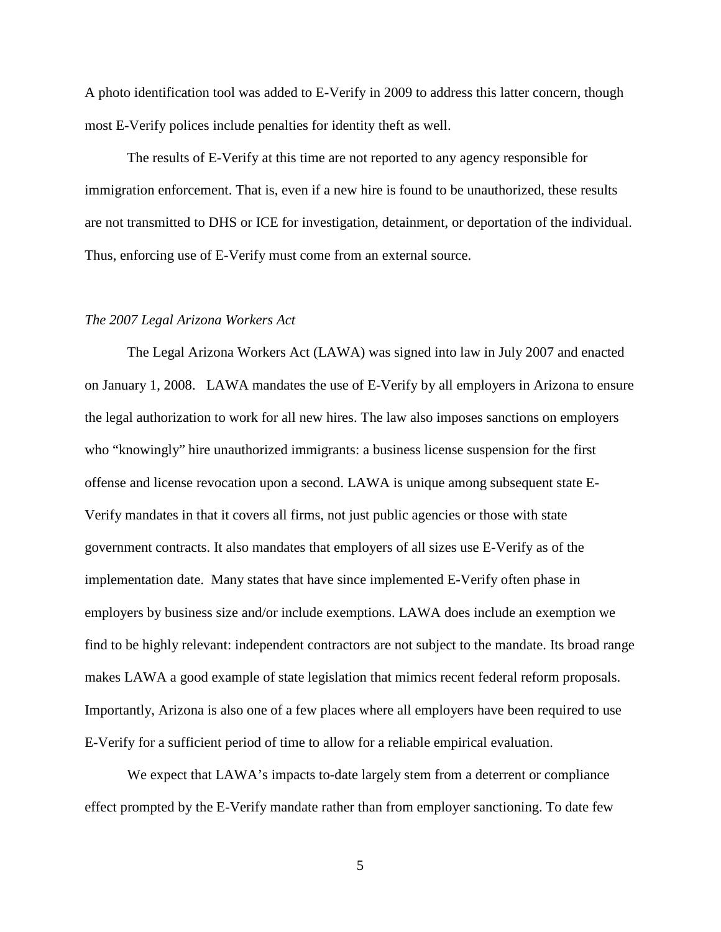A photo identification tool was added to E-Verify in 2009 to address this latter concern, though most E-Verify polices include penalties for identity theft as well.

The results of E-Verify at this time are not reported to any agency responsible for immigration enforcement. That is, even if a new hire is found to be unauthorized, these results are not transmitted to DHS or ICE for investigation, detainment, or deportation of the individual. Thus, enforcing use of E-Verify must come from an external source.

#### *The 2007 Legal Arizona Workers Act*

The Legal Arizona Workers Act (LAWA) was signed into law in July 2007 and enacted on January 1, 2008. LAWA mandates the use of E-Verify by all employers in Arizona to ensure the legal authorization to work for all new hires. The law also imposes sanctions on employers who "knowingly" hire unauthorized immigrants: a business license suspension for the first offense and license revocation upon a second. LAWA is unique among subsequent state E-Verify mandates in that it covers all firms, not just public agencies or those with state government contracts. It also mandates that employers of all sizes use E-Verify as of the implementation date. Many states that have since implemented E-Verify often phase in employers by business size and/or include exemptions. LAWA does include an exemption we find to be highly relevant: independent contractors are not subject to the mandate. Its broad range makes LAWA a good example of state legislation that mimics recent federal reform proposals. Importantly, Arizona is also one of a few places where all employers have been required to use E-Verify for a sufficient period of time to allow for a reliable empirical evaluation.

We expect that LAWA's impacts to-date largely stem from a deterrent or compliance effect prompted by the E-Verify mandate rather than from employer sanctioning. To date few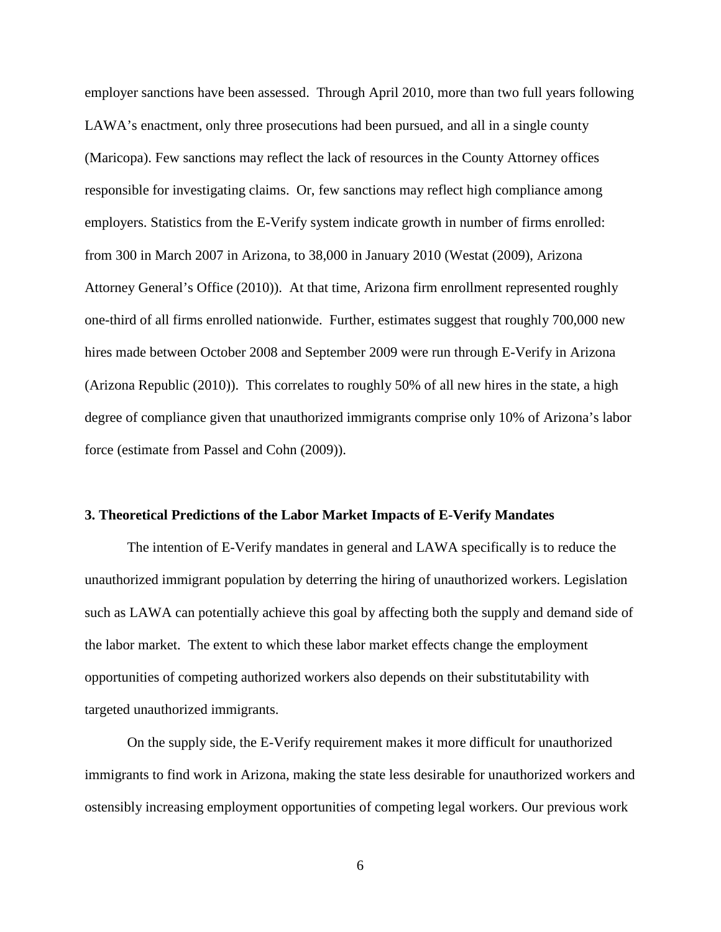employer sanctions have been assessed. Through April 2010, more than two full years following LAWA's enactment, only three prosecutions had been pursued, and all in a single county (Maricopa). Few sanctions may reflect the lack of resources in the County Attorney offices responsible for investigating claims. Or, few sanctions may reflect high compliance among employers. Statistics from the E-Verify system indicate growth in number of firms enrolled: from 300 in March 2007 in Arizona, to 38,000 in January 2010 (Westat (2009), Arizona Attorney General's Office (2010)). At that time, Arizona firm enrollment represented roughly one-third of all firms enrolled nationwide. Further, estimates suggest that roughly 700,000 new hires made between October 2008 and September 2009 were run through E-Verify in Arizona (Arizona Republic (2010)). This correlates to roughly 50% of all new hires in the state, a high degree of compliance given that unauthorized immigrants comprise only 10% of Arizona's labor force (estimate from Passel and Cohn (2009)).

#### **3. Theoretical Predictions of the Labor Market Impacts of E-Verify Mandates**

The intention of E-Verify mandates in general and LAWA specifically is to reduce the unauthorized immigrant population by deterring the hiring of unauthorized workers. Legislation such as LAWA can potentially achieve this goal by affecting both the supply and demand side of the labor market. The extent to which these labor market effects change the employment opportunities of competing authorized workers also depends on their substitutability with targeted unauthorized immigrants.

On the supply side, the E-Verify requirement makes it more difficult for unauthorized immigrants to find work in Arizona, making the state less desirable for unauthorized workers and ostensibly increasing employment opportunities of competing legal workers. Our previous work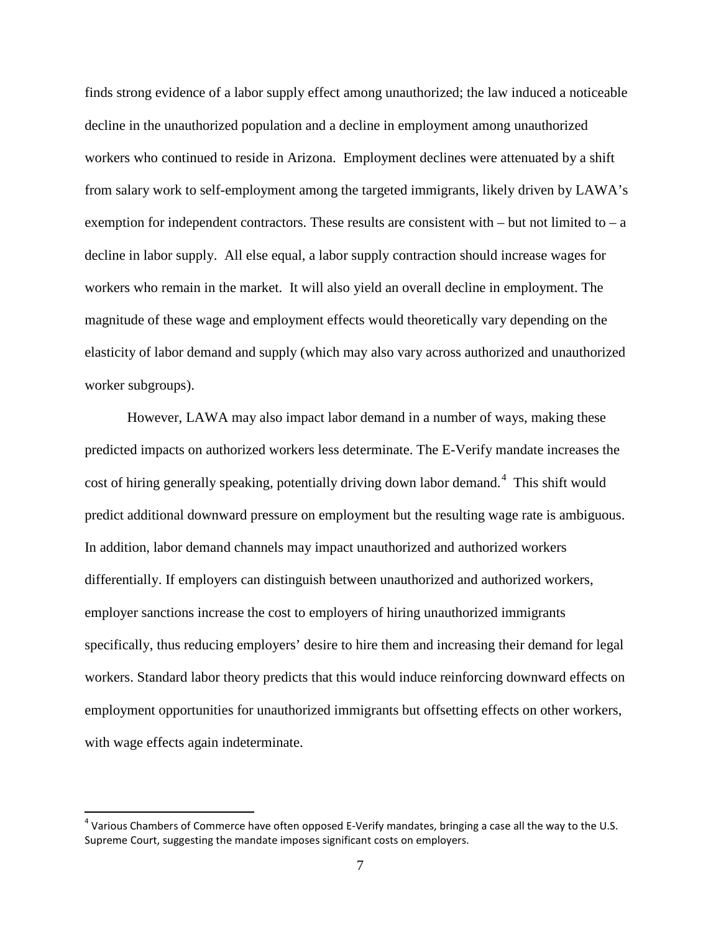finds strong evidence of a labor supply effect among unauthorized; the law induced a noticeable decline in the unauthorized population and a decline in employment among unauthorized workers who continued to reside in Arizona. Employment declines were attenuated by a shift from salary work to self-employment among the targeted immigrants, likely driven by LAWA's exemption for independent contractors. These results are consistent with  $-$  but not limited to  $-$  a decline in labor supply. All else equal, a labor supply contraction should increase wages for workers who remain in the market. It will also yield an overall decline in employment. The magnitude of these wage and employment effects would theoretically vary depending on the elasticity of labor demand and supply (which may also vary across authorized and unauthorized worker subgroups).

However, LAWA may also impact labor demand in a number of ways, making these predicted impacts on authorized workers less determinate. The E-Verify mandate increases the cost of hiring generally speaking, potentially driving down labor demand.<sup>[4](#page-9-0)</sup> This shift would predict additional downward pressure on employment but the resulting wage rate is ambiguous. In addition, labor demand channels may impact unauthorized and authorized workers differentially. If employers can distinguish between unauthorized and authorized workers, employer sanctions increase the cost to employers of hiring unauthorized immigrants specifically, thus reducing employers' desire to hire them and increasing their demand for legal workers. Standard labor theory predicts that this would induce reinforcing downward effects on employment opportunities for unauthorized immigrants but offsetting effects on other workers, with wage effects again indeterminate.

<span id="page-9-0"></span> $4$  Various Chambers of Commerce have often opposed E-Verify mandates, bringing a case all the way to the U.S. Supreme Court, suggesting the mandate imposes significant costs on employers.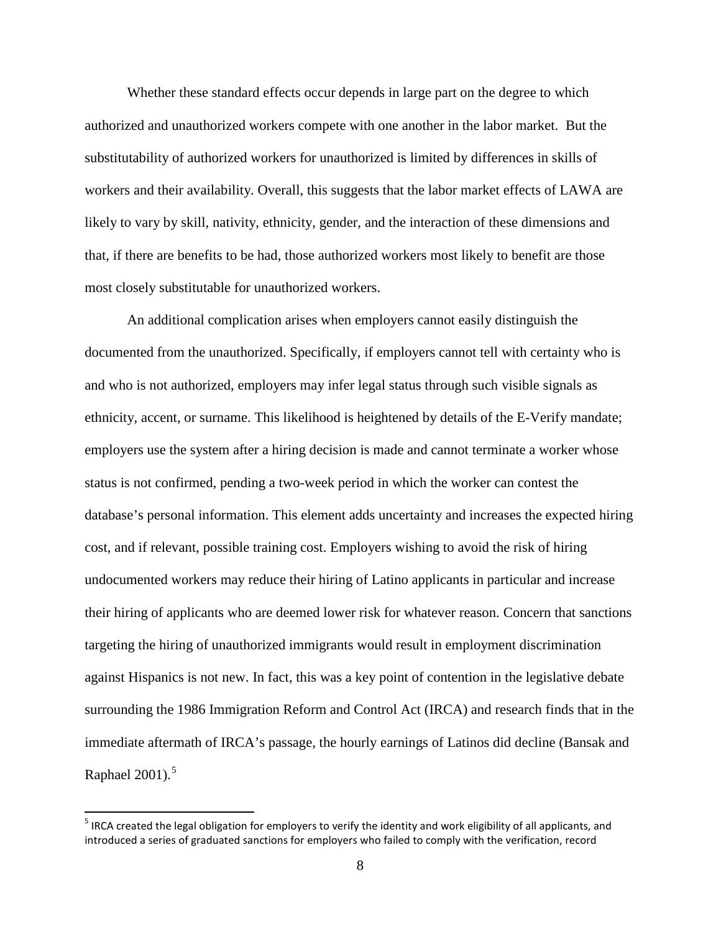Whether these standard effects occur depends in large part on the degree to which authorized and unauthorized workers compete with one another in the labor market. But the substitutability of authorized workers for unauthorized is limited by differences in skills of workers and their availability. Overall, this suggests that the labor market effects of LAWA are likely to vary by skill, nativity, ethnicity, gender, and the interaction of these dimensions and that, if there are benefits to be had, those authorized workers most likely to benefit are those most closely substitutable for unauthorized workers.

An additional complication arises when employers cannot easily distinguish the documented from the unauthorized. Specifically, if employers cannot tell with certainty who is and who is not authorized, employers may infer legal status through such visible signals as ethnicity, accent, or surname. This likelihood is heightened by details of the E-Verify mandate; employers use the system after a hiring decision is made and cannot terminate a worker whose status is not confirmed, pending a two-week period in which the worker can contest the database's personal information. This element adds uncertainty and increases the expected hiring cost, and if relevant, possible training cost. Employers wishing to avoid the risk of hiring undocumented workers may reduce their hiring of Latino applicants in particular and increase their hiring of applicants who are deemed lower risk for whatever reason. Concern that sanctions targeting the hiring of unauthorized immigrants would result in employment discrimination against Hispanics is not new. In fact, this was a key point of contention in the legislative debate surrounding the 1986 Immigration Reform and Control Act (IRCA) and research finds that in the immediate aftermath of IRCA's passage, the hourly earnings of Latinos did decline (Bansak and Raphael  $2001$ ).<sup>[5](#page-10-0)</sup>

<span id="page-10-0"></span> $5$  IRCA created the legal obligation for employers to verify the identity and work eligibility of all applicants, and introduced a series of graduated sanctions for employers who failed to comply with the verification, record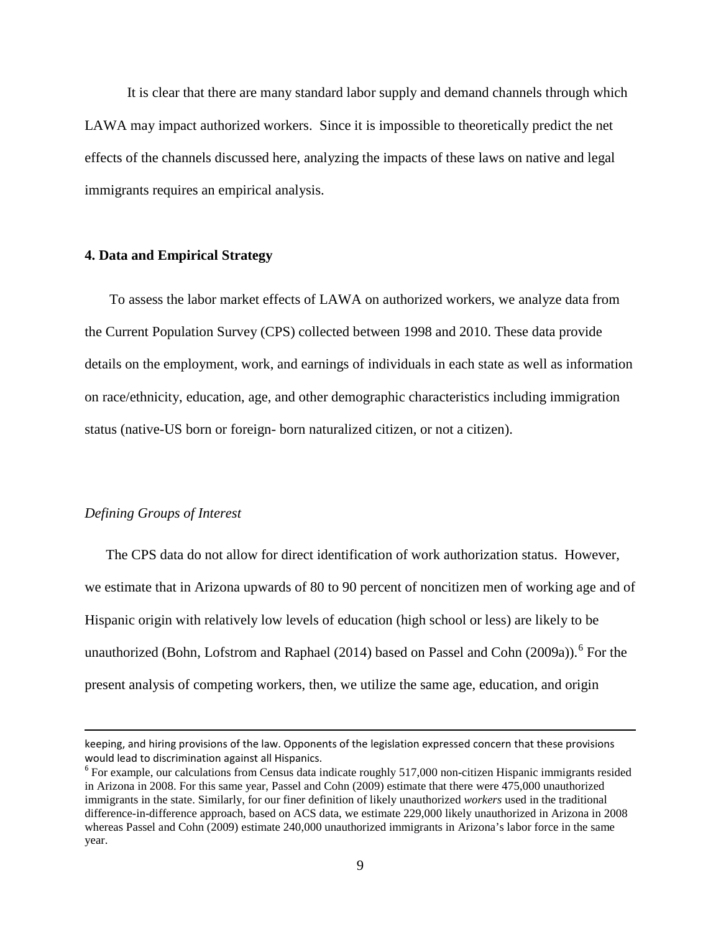It is clear that there are many standard labor supply and demand channels through which LAWA may impact authorized workers. Since it is impossible to theoretically predict the net effects of the channels discussed here, analyzing the impacts of these laws on native and legal immigrants requires an empirical analysis.

#### **4. Data and Empirical Strategy**

To assess the labor market effects of LAWA on authorized workers, we analyze data from the Current Population Survey (CPS) collected between 1998 and 2010. These data provide details on the employment, work, and earnings of individuals in each state as well as information on race/ethnicity, education, age, and other demographic characteristics including immigration status (native-US born or foreign- born naturalized citizen, or not a citizen).

#### *Defining Groups of Interest*

 $\overline{\phantom{a}}$ 

The CPS data do not allow for direct identification of work authorization status. However, we estimate that in Arizona upwards of 80 to 90 percent of noncitizen men of working age and of Hispanic origin with relatively low levels of education (high school or less) are likely to be unauthorized (Bohn, Lofstrom and Raphael (2014) based on Passel and Cohn (2009a)).<sup>[6](#page-11-0)</sup> For the present analysis of competing workers, then, we utilize the same age, education, and origin

keeping, and hiring provisions of the law. Opponents of the legislation expressed concern that these provisions would lead to discrimination against all Hispanics.

<span id="page-11-0"></span><sup>&</sup>lt;sup>6</sup> For example, our calculations from Census data indicate roughly 517,000 non-citizen Hispanic immigrants resided in Arizona in 2008. For this same year, Passel and Cohn (2009) estimate that there were 475,000 unauthorized immigrants in the state. Similarly, for our finer definition of likely unauthorized *workers* used in the traditional difference-in-difference approach, based on ACS data, we estimate 229,000 likely unauthorized in Arizona in 2008 whereas Passel and Cohn (2009) estimate 240,000 unauthorized immigrants in Arizona's labor force in the same year.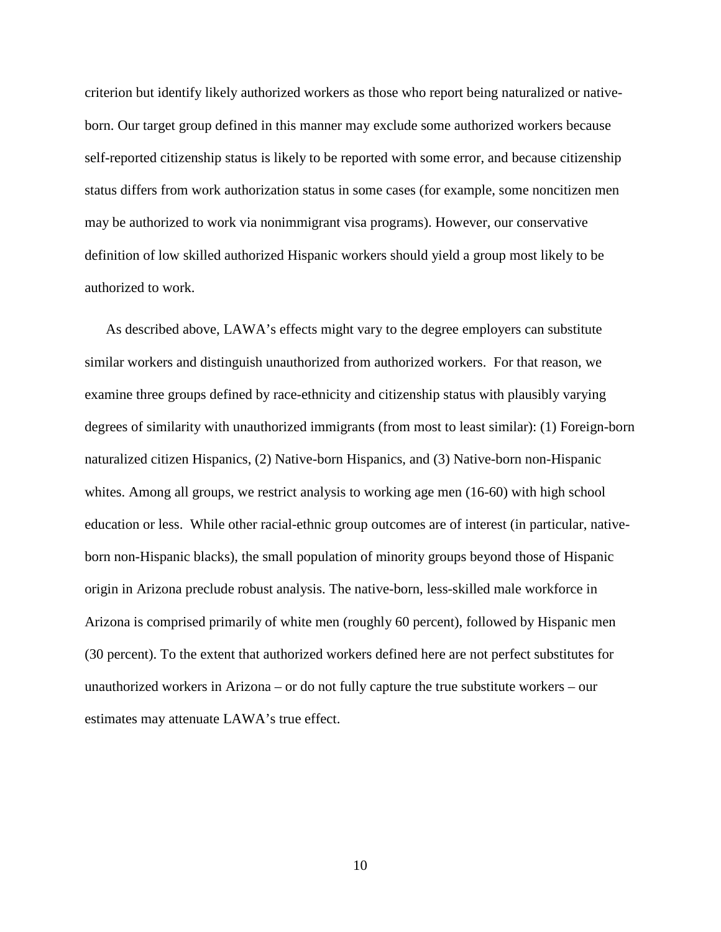criterion but identify likely authorized workers as those who report being naturalized or nativeborn. Our target group defined in this manner may exclude some authorized workers because self-reported citizenship status is likely to be reported with some error, and because citizenship status differs from work authorization status in some cases (for example, some noncitizen men may be authorized to work via nonimmigrant visa programs). However, our conservative definition of low skilled authorized Hispanic workers should yield a group most likely to be authorized to work.

As described above, LAWA's effects might vary to the degree employers can substitute similar workers and distinguish unauthorized from authorized workers. For that reason, we examine three groups defined by race-ethnicity and citizenship status with plausibly varying degrees of similarity with unauthorized immigrants (from most to least similar): (1) Foreign-born naturalized citizen Hispanics, (2) Native-born Hispanics, and (3) Native-born non-Hispanic whites. Among all groups, we restrict analysis to working age men (16-60) with high school education or less. While other racial-ethnic group outcomes are of interest (in particular, nativeborn non-Hispanic blacks), the small population of minority groups beyond those of Hispanic origin in Arizona preclude robust analysis. The native-born, less-skilled male workforce in Arizona is comprised primarily of white men (roughly 60 percent), followed by Hispanic men (30 percent). To the extent that authorized workers defined here are not perfect substitutes for unauthorized workers in Arizona – or do not fully capture the true substitute workers – our estimates may attenuate LAWA's true effect.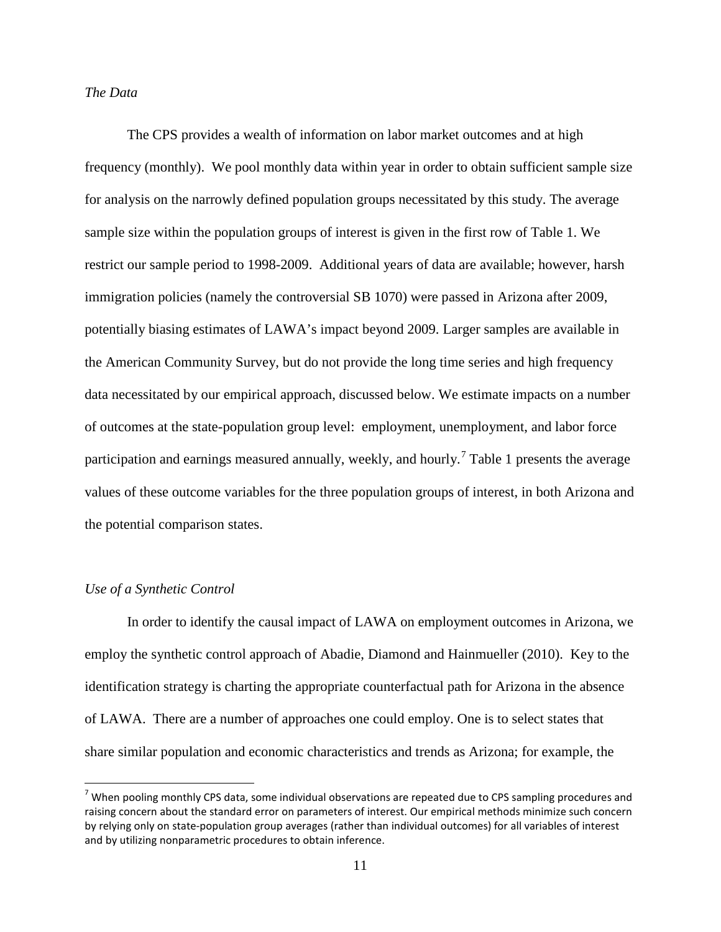#### *The Data*

The CPS provides a wealth of information on labor market outcomes and at high frequency (monthly). We pool monthly data within year in order to obtain sufficient sample size for analysis on the narrowly defined population groups necessitated by this study. The average sample size within the population groups of interest is given in the first row of Table 1. We restrict our sample period to 1998-2009. Additional years of data are available; however, harsh immigration policies (namely the controversial SB 1070) were passed in Arizona after 2009, potentially biasing estimates of LAWA's impact beyond 2009. Larger samples are available in the American Community Survey, but do not provide the long time series and high frequency data necessitated by our empirical approach, discussed below. We estimate impacts on a number of outcomes at the state-population group level: employment, unemployment, and labor force participation and earnings measured annually, weekly, and hourly.<sup>[7](#page-13-0)</sup> Table 1 presents the average values of these outcome variables for the three population groups of interest, in both Arizona and the potential comparison states.

#### *Use of a Synthetic Control*

In order to identify the causal impact of LAWA on employment outcomes in Arizona, we employ the synthetic control approach of Abadie, Diamond and Hainmueller (2010). Key to the identification strategy is charting the appropriate counterfactual path for Arizona in the absence of LAWA. There are a number of approaches one could employ. One is to select states that share similar population and economic characteristics and trends as Arizona; for example, the

<span id="page-13-0"></span> $7$  When pooling monthly CPS data, some individual observations are repeated due to CPS sampling procedures and raising concern about the standard error on parameters of interest. Our empirical methods minimize such concern by relying only on state-population group averages (rather than individual outcomes) for all variables of interest and by utilizing nonparametric procedures to obtain inference.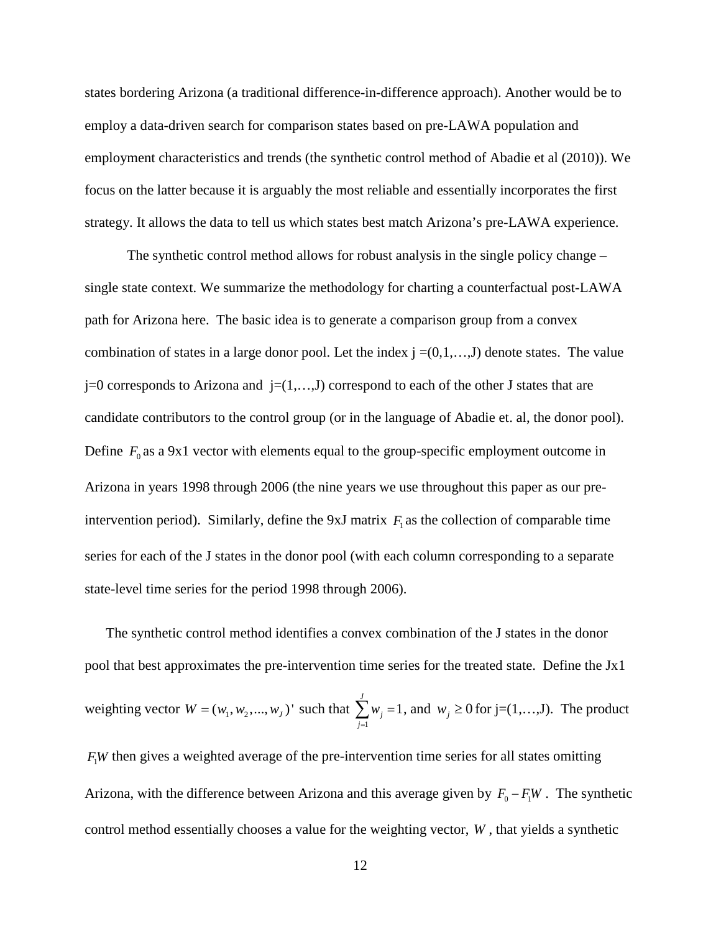states bordering Arizona (a traditional difference-in-difference approach). Another would be to employ a data-driven search for comparison states based on pre-LAWA population and employment characteristics and trends (the synthetic control method of Abadie et al (2010)). We focus on the latter because it is arguably the most reliable and essentially incorporates the first strategy. It allows the data to tell us which states best match Arizona's pre-LAWA experience.

The synthetic control method allows for robust analysis in the single policy change – single state context. We summarize the methodology for charting a counterfactual post-LAWA path for Arizona here. The basic idea is to generate a comparison group from a convex combination of states in a large donor pool. Let the index  $j = (0,1,...,J)$  denote states. The value  $j=0$  corresponds to Arizona and  $j=(1,\ldots,J)$  correspond to each of the other J states that are candidate contributors to the control group (or in the language of Abadie et. al, the donor pool). Define  $F_0$  as a 9x1 vector with elements equal to the group-specific employment outcome in Arizona in years 1998 through 2006 (the nine years we use throughout this paper as our preintervention period). Similarly, define the 9xJ matrix  $F_1$  as the collection of comparable time series for each of the J states in the donor pool (with each column corresponding to a separate state-level time series for the period 1998 through 2006).

The synthetic control method identifies a convex combination of the J states in the donor pool that best approximates the pre-intervention time series for the treated state. Define the Jx1 weighting vector  $W = (w_1, w_2, ..., w_J)$ ' such that 1 1 *J j j w*  $\sum_{j=1} w_j = 1$ , and  $w_j \ge 0$  for j=(1,...,J). The product  $F<sub>1</sub>W$  then gives a weighted average of the pre-intervention time series for all states omitting

Arizona, with the difference between Arizona and this average given by  $F_0 - F_1W$ . The synthetic control method essentially chooses a value for the weighting vector, *W* , that yields a synthetic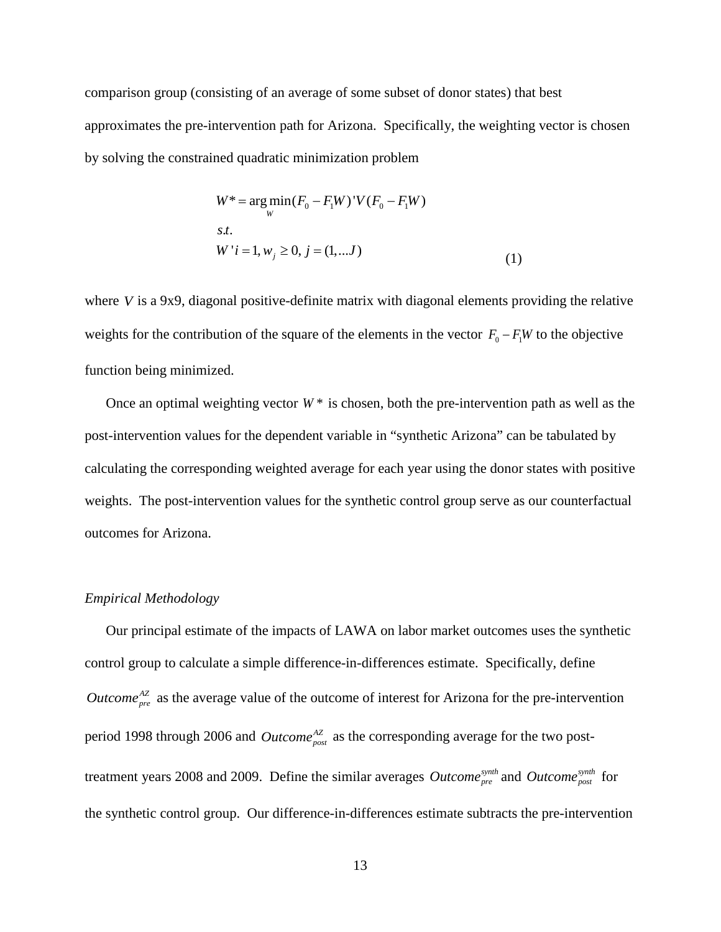comparison group (consisting of an average of some subset of donor states) that best approximates the pre-intervention path for Arizona. Specifically, the weighting vector is chosen by solving the constrained quadratic minimization problem

$$
W^* = \underset{W}{\arg\min} (F_0 - F_1 W)^{\dagger} V (F_0 - F_1 W)
$$
  
s.t.  

$$
W^{\dagger} i = 1, w_j \ge 0, j = (1, ... J)
$$
 (1)

where *V* is a 9x9, diagonal positive-definite matrix with diagonal elements providing the relative weights for the contribution of the square of the elements in the vector  $F_0 - F_1W$  to the objective function being minimized.

Once an optimal weighting vector  $W^*$  is chosen, both the pre-intervention path as well as the post-intervention values for the dependent variable in "synthetic Arizona" can be tabulated by calculating the corresponding weighted average for each year using the donor states with positive weights. The post-intervention values for the synthetic control group serve as our counterfactual outcomes for Arizona.

#### *Empirical Methodology*

Our principal estimate of the impacts of LAWA on labor market outcomes uses the synthetic control group to calculate a simple difference-in-differences estimate. Specifically, define *Outcome*<sup> $^{AZ}_{pre}$ </sup> as the average value of the outcome of interest for Arizona for the pre-intervention period 1998 through 2006 and *Outcome*<sup> $AZ$ </sup> as the corresponding average for the two posttreatment years 2008 and 2009. Define the similar averages *Outcome*<sup>*synth*</sup> and *Outcome*<sup>*synth*</sup> for the synthetic control group. Our difference-in-differences estimate subtracts the pre-intervention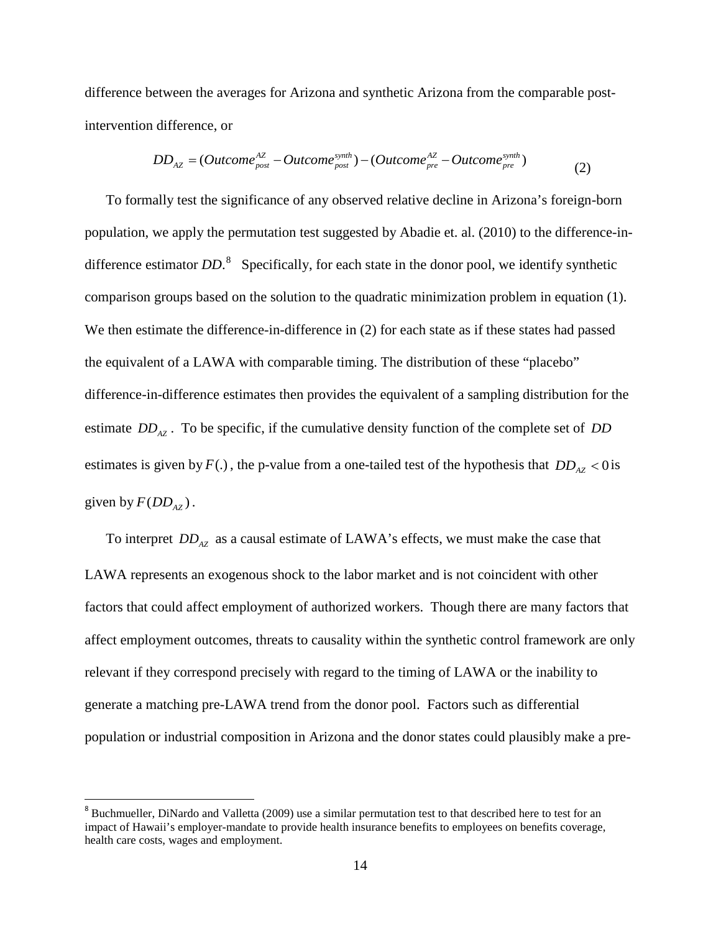difference between the averages for Arizona and synthetic Arizona from the comparable postintervention difference, or

$$
DD_{AZ} = (Outcome_{post}^{AZ} - Outcome_{post}^{synth}) - (Outcome_{pre}^{AZ} - Outcome_{pre}^{synth})
$$
\n(2)

To formally test the significance of any observed relative decline in Arizona's foreign-born population, we apply the permutation test suggested by Abadie et. al. (2010) to the difference-indifference estimator *DD*.<sup>[8](#page-16-0)</sup> Specifically, for each state in the donor pool, we identify synthetic comparison groups based on the solution to the quadratic minimization problem in equation (1). We then estimate the difference-in-difference in (2) for each state as if these states had passed the equivalent of a LAWA with comparable timing. The distribution of these "placebo" difference-in-difference estimates then provides the equivalent of a sampling distribution for the estimate *DD<sub>AZ</sub>*. To be specific, if the cumulative density function of the complete set of *DD* estimates is given by  $F(.)$ , the p-value from a one-tailed test of the hypothesis that  $DD_{AZ} < 0$  is given by  $F(DD_{AZ})$ .

To interpret  $DD_{AZ}$  as a causal estimate of LAWA's effects, we must make the case that LAWA represents an exogenous shock to the labor market and is not coincident with other factors that could affect employment of authorized workers. Though there are many factors that affect employment outcomes, threats to causality within the synthetic control framework are only relevant if they correspond precisely with regard to the timing of LAWA or the inability to generate a matching pre-LAWA trend from the donor pool. Factors such as differential population or industrial composition in Arizona and the donor states could plausibly make a pre-

<span id="page-16-0"></span> $8$  Buchmueller, DiNardo and Valletta (2009) use a similar permutation test to that described here to test for an impact of Hawaii's employer-mandate to provide health insurance benefits to employees on benefits coverage, health care costs, wages and employment.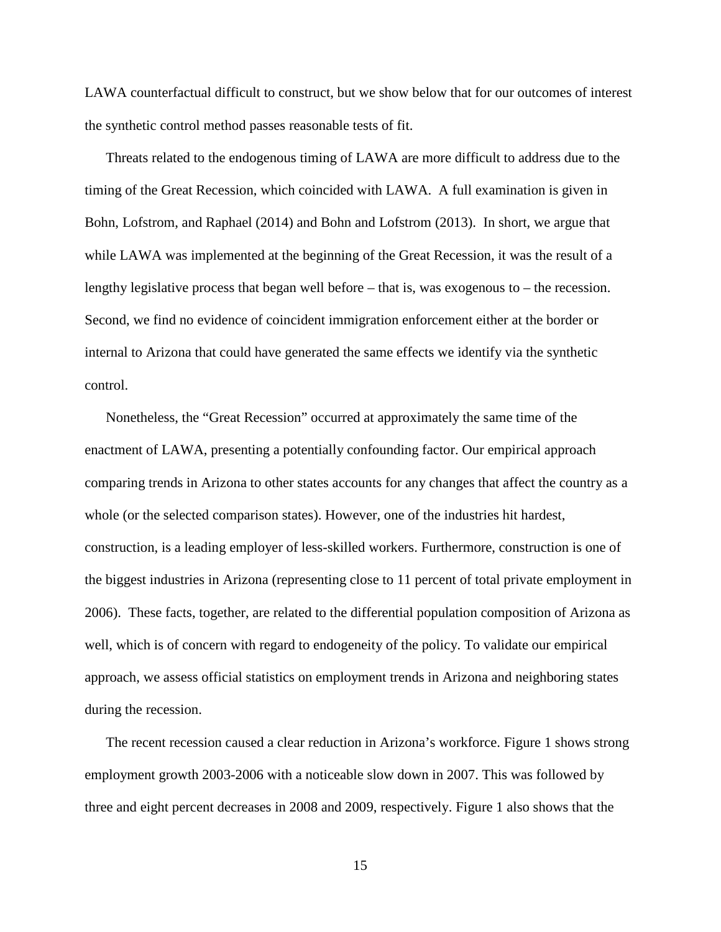LAWA counterfactual difficult to construct, but we show below that for our outcomes of interest the synthetic control method passes reasonable tests of fit.

Threats related to the endogenous timing of LAWA are more difficult to address due to the timing of the Great Recession, which coincided with LAWA. A full examination is given in Bohn, Lofstrom, and Raphael (2014) and Bohn and Lofstrom (2013). In short, we argue that while LAWA was implemented at the beginning of the Great Recession, it was the result of a lengthy legislative process that began well before – that is, was exogenous to – the recession. Second, we find no evidence of coincident immigration enforcement either at the border or internal to Arizona that could have generated the same effects we identify via the synthetic control.

Nonetheless, the "Great Recession" occurred at approximately the same time of the enactment of LAWA, presenting a potentially confounding factor. Our empirical approach comparing trends in Arizona to other states accounts for any changes that affect the country as a whole (or the selected comparison states). However, one of the industries hit hardest, construction, is a leading employer of less-skilled workers. Furthermore, construction is one of the biggest industries in Arizona (representing close to 11 percent of total private employment in 2006). These facts, together, are related to the differential population composition of Arizona as well, which is of concern with regard to endogeneity of the policy. To validate our empirical approach, we assess official statistics on employment trends in Arizona and neighboring states during the recession.

The recent recession caused a clear reduction in Arizona's workforce. Figure 1 shows strong employment growth 2003-2006 with a noticeable slow down in 2007. This was followed by three and eight percent decreases in 2008 and 2009, respectively. Figure 1 also shows that the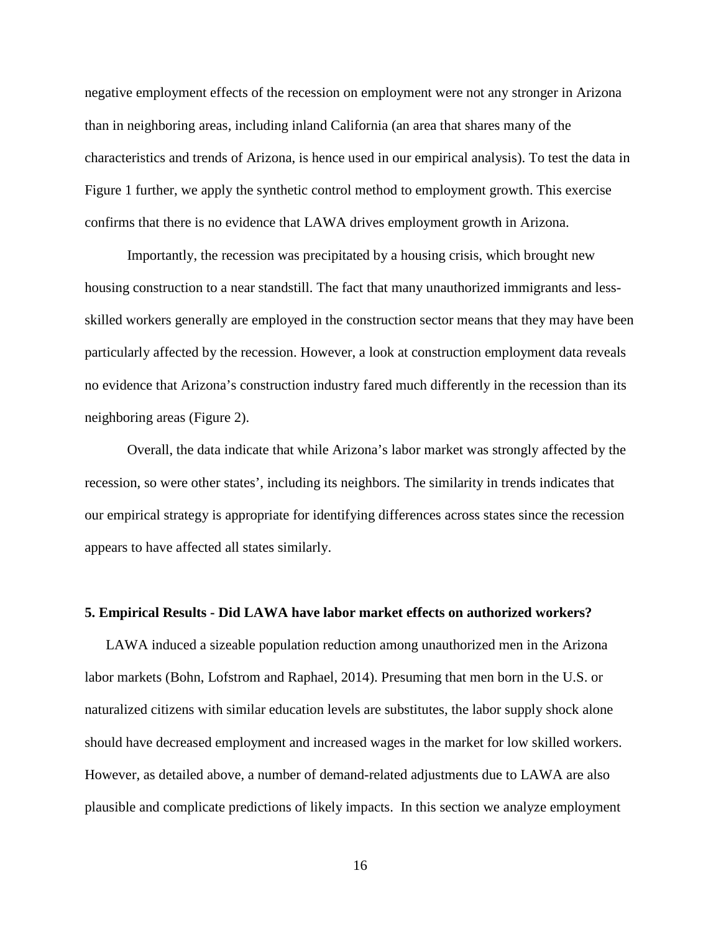negative employment effects of the recession on employment were not any stronger in Arizona than in neighboring areas, including inland California (an area that shares many of the characteristics and trends of Arizona, is hence used in our empirical analysis). To test the data in Figure 1 further, we apply the synthetic control method to employment growth. This exercise confirms that there is no evidence that LAWA drives employment growth in Arizona.

Importantly, the recession was precipitated by a housing crisis, which brought new housing construction to a near standstill. The fact that many unauthorized immigrants and lessskilled workers generally are employed in the construction sector means that they may have been particularly affected by the recession. However, a look at construction employment data reveals no evidence that Arizona's construction industry fared much differently in the recession than its neighboring areas (Figure 2).

Overall, the data indicate that while Arizona's labor market was strongly affected by the recession, so were other states', including its neighbors. The similarity in trends indicates that our empirical strategy is appropriate for identifying differences across states since the recession appears to have affected all states similarly.

#### **5. Empirical Results - Did LAWA have labor market effects on authorized workers?**

LAWA induced a sizeable population reduction among unauthorized men in the Arizona labor markets (Bohn, Lofstrom and Raphael, 2014). Presuming that men born in the U.S. or naturalized citizens with similar education levels are substitutes, the labor supply shock alone should have decreased employment and increased wages in the market for low skilled workers. However, as detailed above, a number of demand-related adjustments due to LAWA are also plausible and complicate predictions of likely impacts. In this section we analyze employment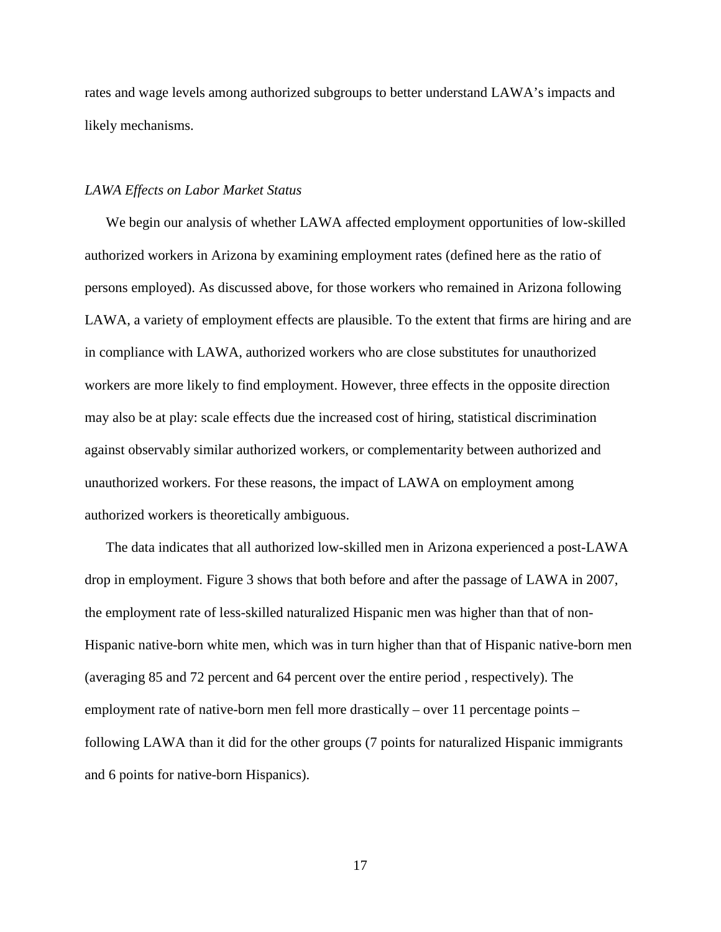rates and wage levels among authorized subgroups to better understand LAWA's impacts and likely mechanisms.

#### *LAWA Effects on Labor Market Status*

We begin our analysis of whether LAWA affected employment opportunities of low-skilled authorized workers in Arizona by examining employment rates (defined here as the ratio of persons employed). As discussed above, for those workers who remained in Arizona following LAWA, a variety of employment effects are plausible. To the extent that firms are hiring and are in compliance with LAWA, authorized workers who are close substitutes for unauthorized workers are more likely to find employment. However, three effects in the opposite direction may also be at play: scale effects due the increased cost of hiring, statistical discrimination against observably similar authorized workers, or complementarity between authorized and unauthorized workers. For these reasons, the impact of LAWA on employment among authorized workers is theoretically ambiguous.

The data indicates that all authorized low-skilled men in Arizona experienced a post-LAWA drop in employment. Figure 3 shows that both before and after the passage of LAWA in 2007, the employment rate of less-skilled naturalized Hispanic men was higher than that of non-Hispanic native-born white men, which was in turn higher than that of Hispanic native-born men (averaging 85 and 72 percent and 64 percent over the entire period , respectively). The employment rate of native-born men fell more drastically – over 11 percentage points – following LAWA than it did for the other groups (7 points for naturalized Hispanic immigrants and 6 points for native-born Hispanics).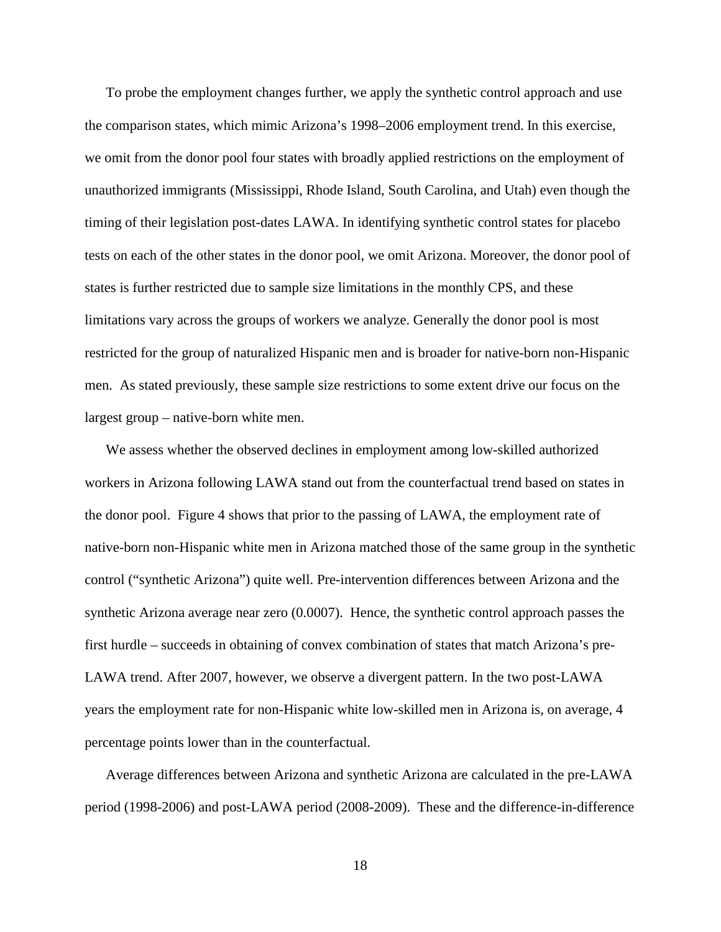To probe the employment changes further, we apply the synthetic control approach and use the comparison states, which mimic Arizona's 1998–2006 employment trend. In this exercise, we omit from the donor pool four states with broadly applied restrictions on the employment of unauthorized immigrants (Mississippi, Rhode Island, South Carolina, and Utah) even though the timing of their legislation post-dates LAWA. In identifying synthetic control states for placebo tests on each of the other states in the donor pool, we omit Arizona. Moreover, the donor pool of states is further restricted due to sample size limitations in the monthly CPS, and these limitations vary across the groups of workers we analyze. Generally the donor pool is most restricted for the group of naturalized Hispanic men and is broader for native-born non-Hispanic men. As stated previously, these sample size restrictions to some extent drive our focus on the largest group – native-born white men.

We assess whether the observed declines in employment among low-skilled authorized workers in Arizona following LAWA stand out from the counterfactual trend based on states in the donor pool. Figure 4 shows that prior to the passing of LAWA, the employment rate of native-born non-Hispanic white men in Arizona matched those of the same group in the synthetic control ("synthetic Arizona") quite well. Pre-intervention differences between Arizona and the synthetic Arizona average near zero (0.0007). Hence, the synthetic control approach passes the first hurdle – succeeds in obtaining of convex combination of states that match Arizona's pre-LAWA trend. After 2007, however, we observe a divergent pattern. In the two post-LAWA years the employment rate for non-Hispanic white low-skilled men in Arizona is, on average, 4 percentage points lower than in the counterfactual.

Average differences between Arizona and synthetic Arizona are calculated in the pre-LAWA period (1998-2006) and post-LAWA period (2008-2009). These and the difference-in-difference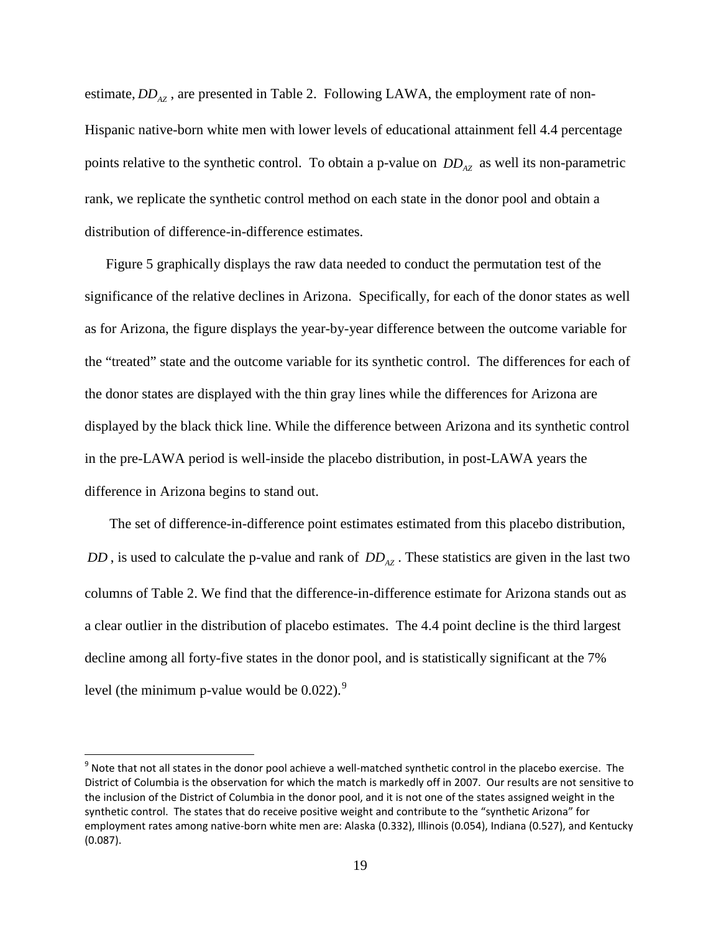estimate,  $DD_{47}$ , are presented in Table 2. Following LAWA, the employment rate of non-Hispanic native-born white men with lower levels of educational attainment fell 4.4 percentage points relative to the synthetic control. To obtain a p-value on  $DD_{AZ}$  as well its non-parametric rank, we replicate the synthetic control method on each state in the donor pool and obtain a distribution of difference-in-difference estimates.

Figure 5 graphically displays the raw data needed to conduct the permutation test of the significance of the relative declines in Arizona. Specifically, for each of the donor states as well as for Arizona, the figure displays the year-by-year difference between the outcome variable for the "treated" state and the outcome variable for its synthetic control. The differences for each of the donor states are displayed with the thin gray lines while the differences for Arizona are displayed by the black thick line. While the difference between Arizona and its synthetic control in the pre-LAWA period is well-inside the placebo distribution, in post-LAWA years the difference in Arizona begins to stand out.

The set of difference-in-difference point estimates estimated from this placebo distribution, *DD*, is used to calculate the p-value and rank of  $DD_{47}$ . These statistics are given in the last two columns of Table 2. We find that the difference-in-difference estimate for Arizona stands out as a clear outlier in the distribution of placebo estimates. The 4.4 point decline is the third largest decline among all forty-five states in the donor pool, and is statistically significant at the 7% level (the minimum p-value would be  $0.022$ ).<sup>[9](#page-21-0)</sup>

<span id="page-21-0"></span> $9$  Note that not all states in the donor pool achieve a well-matched synthetic control in the placebo exercise. The District of Columbia is the observation for which the match is markedly off in 2007. Our results are not sensitive to the inclusion of the District of Columbia in the donor pool, and it is not one of the states assigned weight in the synthetic control. The states that do receive positive weight and contribute to the "synthetic Arizona" for employment rates among native-born white men are: Alaska (0.332), Illinois (0.054), Indiana (0.527), and Kentucky (0.087).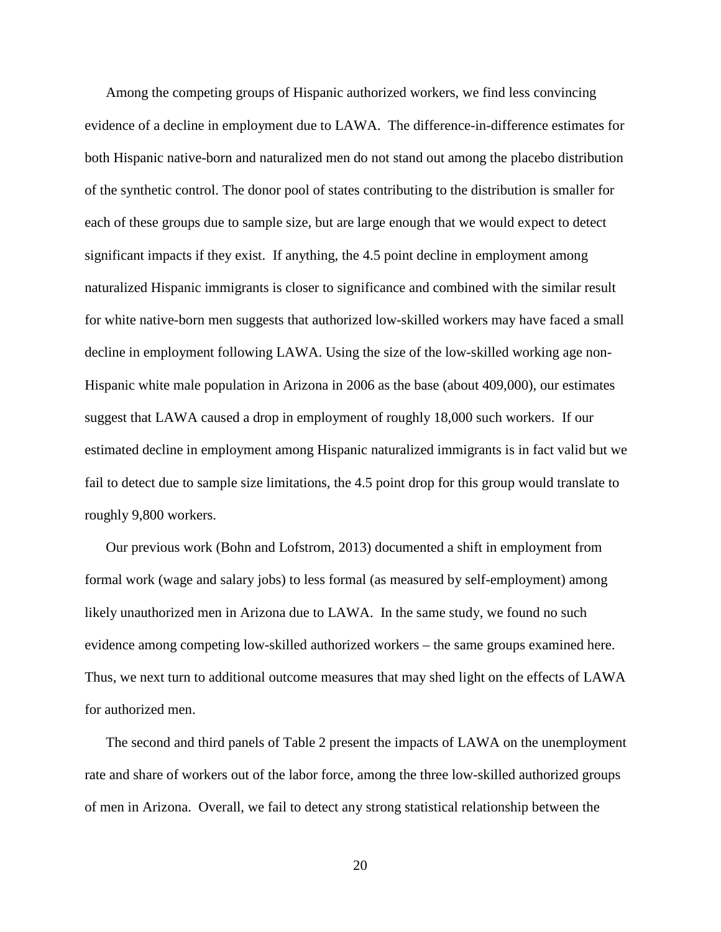Among the competing groups of Hispanic authorized workers, we find less convincing evidence of a decline in employment due to LAWA. The difference-in-difference estimates for both Hispanic native-born and naturalized men do not stand out among the placebo distribution of the synthetic control. The donor pool of states contributing to the distribution is smaller for each of these groups due to sample size, but are large enough that we would expect to detect significant impacts if they exist. If anything, the 4.5 point decline in employment among naturalized Hispanic immigrants is closer to significance and combined with the similar result for white native-born men suggests that authorized low-skilled workers may have faced a small decline in employment following LAWA. Using the size of the low-skilled working age non-Hispanic white male population in Arizona in 2006 as the base (about 409,000), our estimates suggest that LAWA caused a drop in employment of roughly 18,000 such workers. If our estimated decline in employment among Hispanic naturalized immigrants is in fact valid but we fail to detect due to sample size limitations, the 4.5 point drop for this group would translate to roughly 9,800 workers.

Our previous work (Bohn and Lofstrom, 2013) documented a shift in employment from formal work (wage and salary jobs) to less formal (as measured by self-employment) among likely unauthorized men in Arizona due to LAWA. In the same study, we found no such evidence among competing low-skilled authorized workers – the same groups examined here. Thus, we next turn to additional outcome measures that may shed light on the effects of LAWA for authorized men.

The second and third panels of Table 2 present the impacts of LAWA on the unemployment rate and share of workers out of the labor force, among the three low-skilled authorized groups of men in Arizona. Overall, we fail to detect any strong statistical relationship between the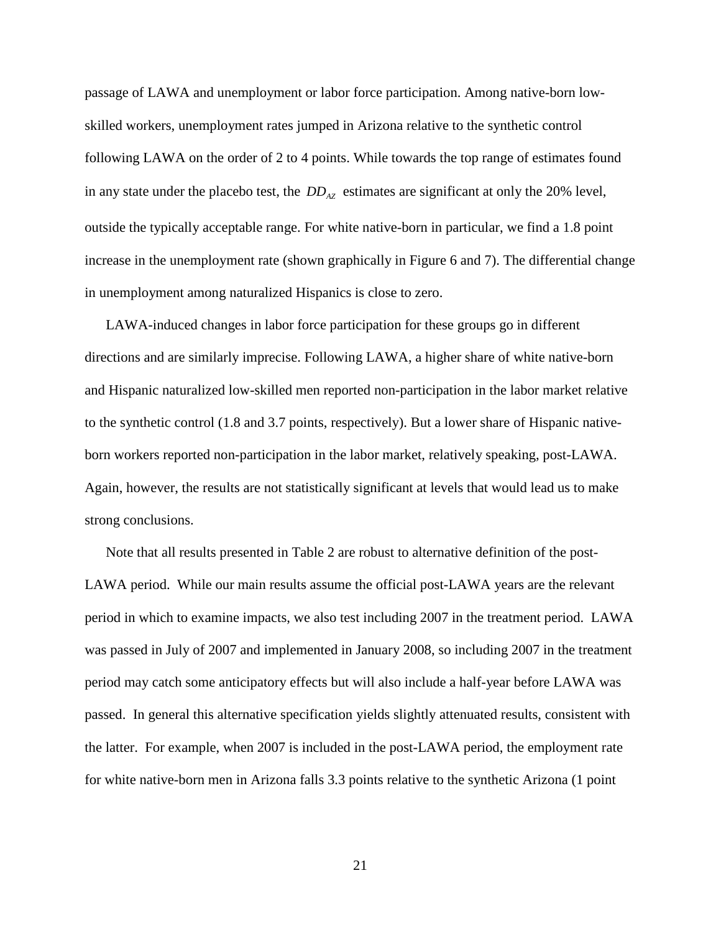passage of LAWA and unemployment or labor force participation. Among native-born lowskilled workers, unemployment rates jumped in Arizona relative to the synthetic control following LAWA on the order of 2 to 4 points. While towards the top range of estimates found in any state under the placebo test, the  $DD_{AZ}$  estimates are significant at only the 20% level, outside the typically acceptable range. For white native-born in particular, we find a 1.8 point increase in the unemployment rate (shown graphically in Figure 6 and 7). The differential change in unemployment among naturalized Hispanics is close to zero.

LAWA-induced changes in labor force participation for these groups go in different directions and are similarly imprecise. Following LAWA, a higher share of white native-born and Hispanic naturalized low-skilled men reported non-participation in the labor market relative to the synthetic control (1.8 and 3.7 points, respectively). But a lower share of Hispanic nativeborn workers reported non-participation in the labor market, relatively speaking, post-LAWA. Again, however, the results are not statistically significant at levels that would lead us to make strong conclusions.

Note that all results presented in Table 2 are robust to alternative definition of the post-LAWA period. While our main results assume the official post-LAWA years are the relevant period in which to examine impacts, we also test including 2007 in the treatment period. LAWA was passed in July of 2007 and implemented in January 2008, so including 2007 in the treatment period may catch some anticipatory effects but will also include a half-year before LAWA was passed. In general this alternative specification yields slightly attenuated results, consistent with the latter. For example, when 2007 is included in the post-LAWA period, the employment rate for white native-born men in Arizona falls 3.3 points relative to the synthetic Arizona (1 point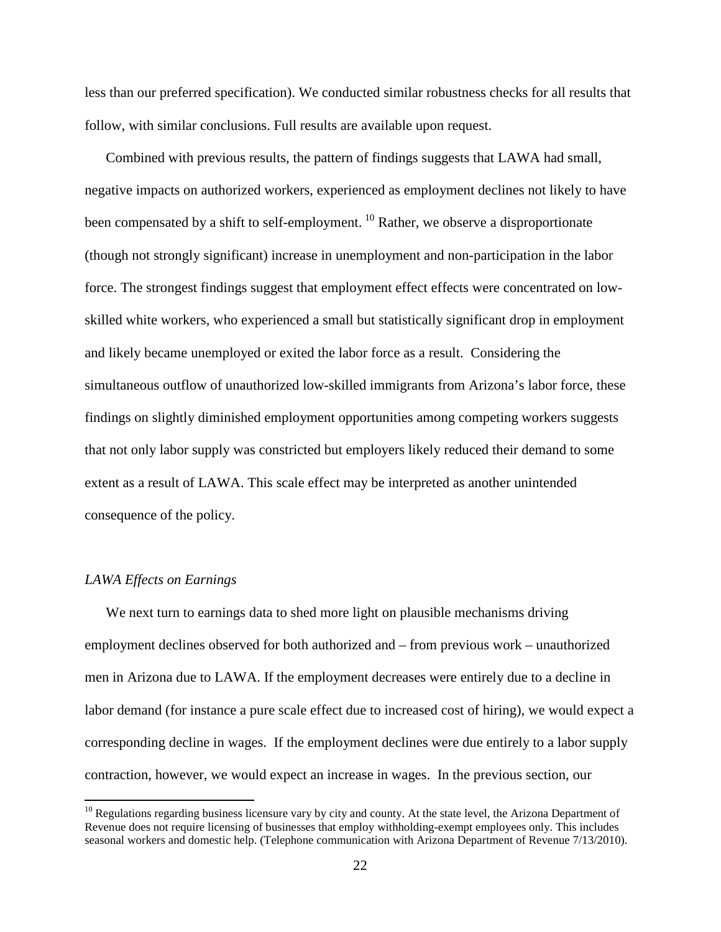less than our preferred specification). We conducted similar robustness checks for all results that follow, with similar conclusions. Full results are available upon request.

Combined with previous results, the pattern of findings suggests that LAWA had small, negative impacts on authorized workers, experienced as employment declines not likely to have been compensated by a shift to self-employment. <sup>[10](#page-24-0)</sup> Rather, we observe a disproportionate (though not strongly significant) increase in unemployment and non-participation in the labor force. The strongest findings suggest that employment effect effects were concentrated on lowskilled white workers, who experienced a small but statistically significant drop in employment and likely became unemployed or exited the labor force as a result. Considering the simultaneous outflow of unauthorized low-skilled immigrants from Arizona's labor force, these findings on slightly diminished employment opportunities among competing workers suggests that not only labor supply was constricted but employers likely reduced their demand to some extent as a result of LAWA. This scale effect may be interpreted as another unintended consequence of the policy.

#### *LAWA Effects on Earnings*

We next turn to earnings data to shed more light on plausible mechanisms driving employment declines observed for both authorized and – from previous work – unauthorized men in Arizona due to LAWA. If the employment decreases were entirely due to a decline in labor demand (for instance a pure scale effect due to increased cost of hiring), we would expect a corresponding decline in wages. If the employment declines were due entirely to a labor supply contraction, however, we would expect an increase in wages. In the previous section, our

<span id="page-24-0"></span> $10$  Regulations regarding business licensure vary by city and county. At the state level, the Arizona Department of Revenue does not require licensing of businesses that employ withholding-exempt employees only. This includes seasonal workers and domestic help. (Telephone communication with Arizona Department of Revenue 7/13/2010).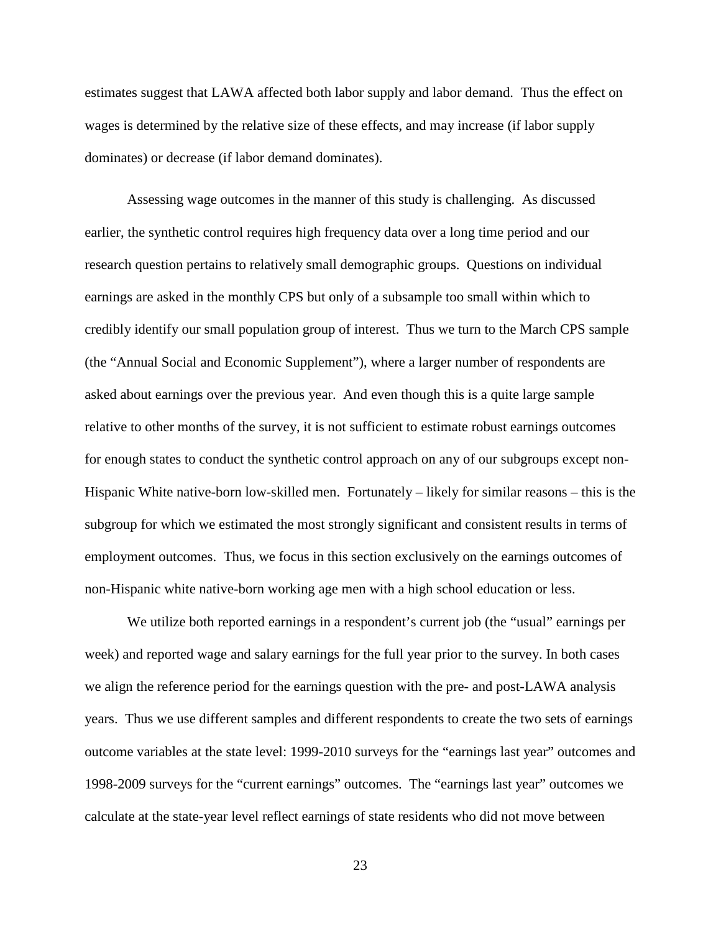estimates suggest that LAWA affected both labor supply and labor demand. Thus the effect on wages is determined by the relative size of these effects, and may increase (if labor supply dominates) or decrease (if labor demand dominates).

Assessing wage outcomes in the manner of this study is challenging. As discussed earlier, the synthetic control requires high frequency data over a long time period and our research question pertains to relatively small demographic groups. Questions on individual earnings are asked in the monthly CPS but only of a subsample too small within which to credibly identify our small population group of interest. Thus we turn to the March CPS sample (the "Annual Social and Economic Supplement"), where a larger number of respondents are asked about earnings over the previous year. And even though this is a quite large sample relative to other months of the survey, it is not sufficient to estimate robust earnings outcomes for enough states to conduct the synthetic control approach on any of our subgroups except non-Hispanic White native-born low-skilled men. Fortunately – likely for similar reasons – this is the subgroup for which we estimated the most strongly significant and consistent results in terms of employment outcomes. Thus, we focus in this section exclusively on the earnings outcomes of non-Hispanic white native-born working age men with a high school education or less.

We utilize both reported earnings in a respondent's current job (the "usual" earnings per week) and reported wage and salary earnings for the full year prior to the survey. In both cases we align the reference period for the earnings question with the pre- and post-LAWA analysis years. Thus we use different samples and different respondents to create the two sets of earnings outcome variables at the state level: 1999-2010 surveys for the "earnings last year" outcomes and 1998-2009 surveys for the "current earnings" outcomes. The "earnings last year" outcomes we calculate at the state-year level reflect earnings of state residents who did not move between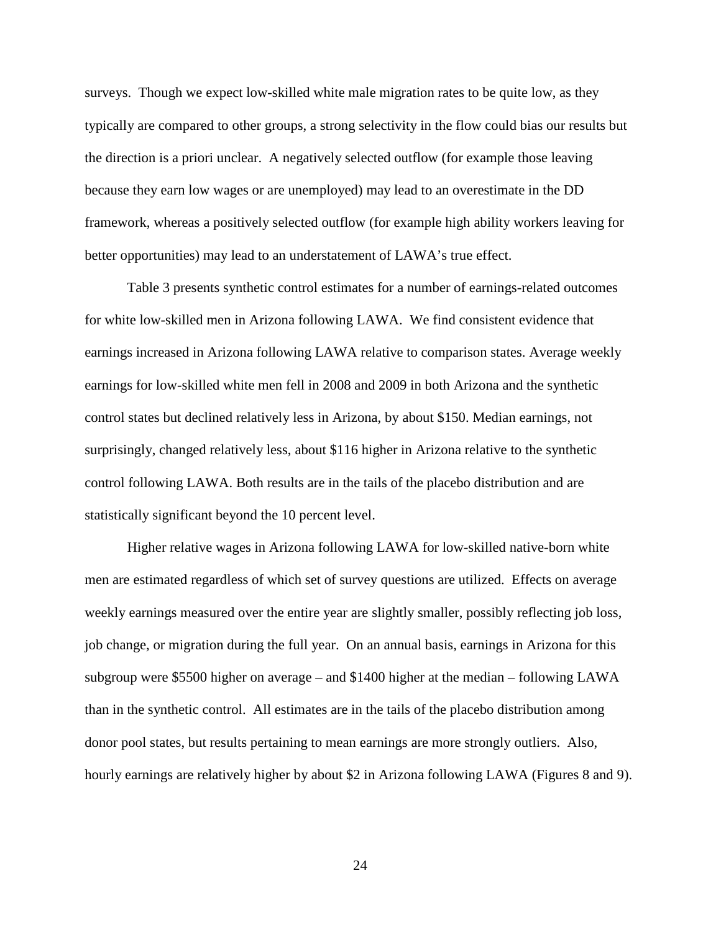surveys. Though we expect low-skilled white male migration rates to be quite low, as they typically are compared to other groups, a strong selectivity in the flow could bias our results but the direction is a priori unclear. A negatively selected outflow (for example those leaving because they earn low wages or are unemployed) may lead to an overestimate in the DD framework, whereas a positively selected outflow (for example high ability workers leaving for better opportunities) may lead to an understatement of LAWA's true effect.

Table 3 presents synthetic control estimates for a number of earnings-related outcomes for white low-skilled men in Arizona following LAWA. We find consistent evidence that earnings increased in Arizona following LAWA relative to comparison states. Average weekly earnings for low-skilled white men fell in 2008 and 2009 in both Arizona and the synthetic control states but declined relatively less in Arizona, by about \$150. Median earnings, not surprisingly, changed relatively less, about \$116 higher in Arizona relative to the synthetic control following LAWA. Both results are in the tails of the placebo distribution and are statistically significant beyond the 10 percent level.

Higher relative wages in Arizona following LAWA for low-skilled native-born white men are estimated regardless of which set of survey questions are utilized. Effects on average weekly earnings measured over the entire year are slightly smaller, possibly reflecting job loss, job change, or migration during the full year. On an annual basis, earnings in Arizona for this subgroup were \$5500 higher on average – and \$1400 higher at the median – following LAWA than in the synthetic control. All estimates are in the tails of the placebo distribution among donor pool states, but results pertaining to mean earnings are more strongly outliers. Also, hourly earnings are relatively higher by about \$2 in Arizona following LAWA (Figures 8 and 9).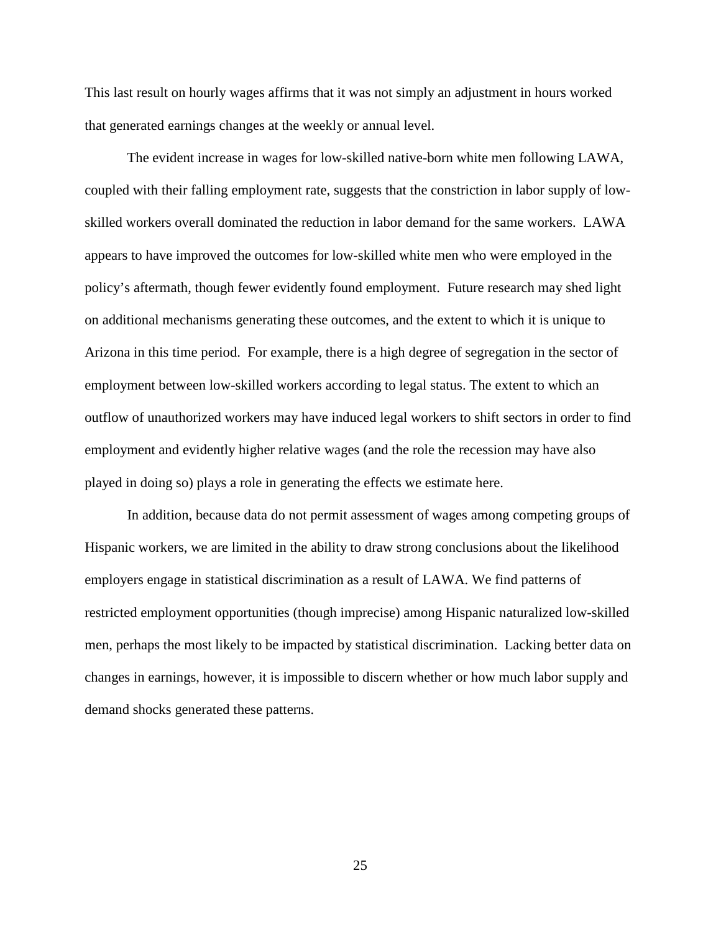This last result on hourly wages affirms that it was not simply an adjustment in hours worked that generated earnings changes at the weekly or annual level.

The evident increase in wages for low-skilled native-born white men following LAWA, coupled with their falling employment rate, suggests that the constriction in labor supply of lowskilled workers overall dominated the reduction in labor demand for the same workers. LAWA appears to have improved the outcomes for low-skilled white men who were employed in the policy's aftermath, though fewer evidently found employment. Future research may shed light on additional mechanisms generating these outcomes, and the extent to which it is unique to Arizona in this time period. For example, there is a high degree of segregation in the sector of employment between low-skilled workers according to legal status. The extent to which an outflow of unauthorized workers may have induced legal workers to shift sectors in order to find employment and evidently higher relative wages (and the role the recession may have also played in doing so) plays a role in generating the effects we estimate here.

In addition, because data do not permit assessment of wages among competing groups of Hispanic workers, we are limited in the ability to draw strong conclusions about the likelihood employers engage in statistical discrimination as a result of LAWA. We find patterns of restricted employment opportunities (though imprecise) among Hispanic naturalized low-skilled men, perhaps the most likely to be impacted by statistical discrimination. Lacking better data on changes in earnings, however, it is impossible to discern whether or how much labor supply and demand shocks generated these patterns.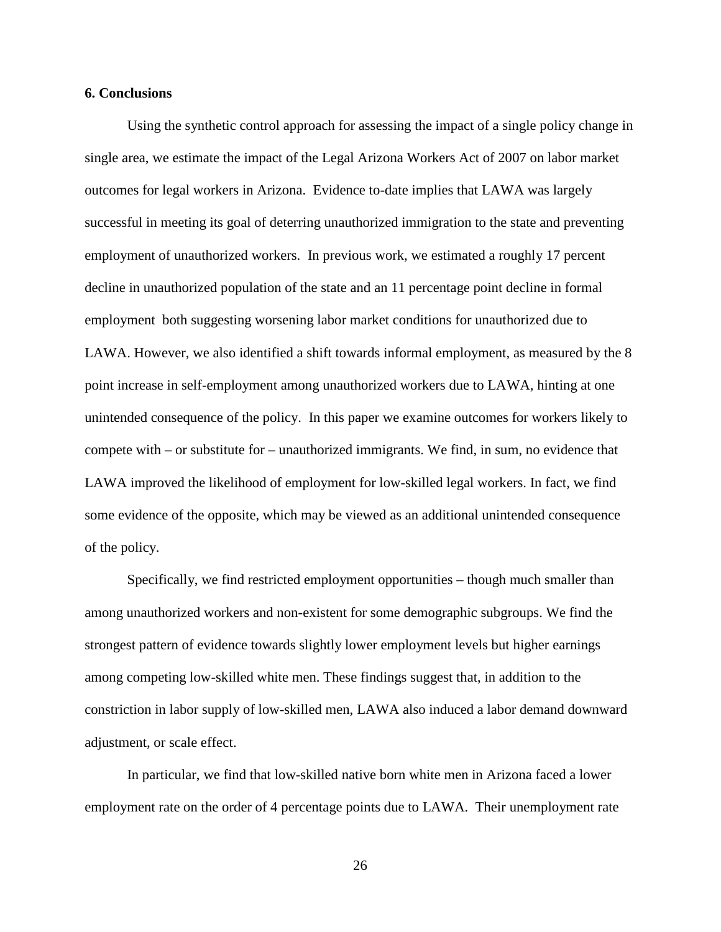#### **6. Conclusions**

Using the synthetic control approach for assessing the impact of a single policy change in single area, we estimate the impact of the Legal Arizona Workers Act of 2007 on labor market outcomes for legal workers in Arizona. Evidence to-date implies that LAWA was largely successful in meeting its goal of deterring unauthorized immigration to the state and preventing employment of unauthorized workers. In previous work, we estimated a roughly 17 percent decline in unauthorized population of the state and an 11 percentage point decline in formal employment both suggesting worsening labor market conditions for unauthorized due to LAWA. However, we also identified a shift towards informal employment, as measured by the 8 point increase in self-employment among unauthorized workers due to LAWA, hinting at one unintended consequence of the policy. In this paper we examine outcomes for workers likely to compete with – or substitute for – unauthorized immigrants. We find, in sum, no evidence that LAWA improved the likelihood of employment for low-skilled legal workers. In fact, we find some evidence of the opposite, which may be viewed as an additional unintended consequence of the policy.

Specifically, we find restricted employment opportunities – though much smaller than among unauthorized workers and non-existent for some demographic subgroups. We find the strongest pattern of evidence towards slightly lower employment levels but higher earnings among competing low-skilled white men. These findings suggest that, in addition to the constriction in labor supply of low-skilled men, LAWA also induced a labor demand downward adjustment, or scale effect.

In particular, we find that low-skilled native born white men in Arizona faced a lower employment rate on the order of 4 percentage points due to LAWA. Their unemployment rate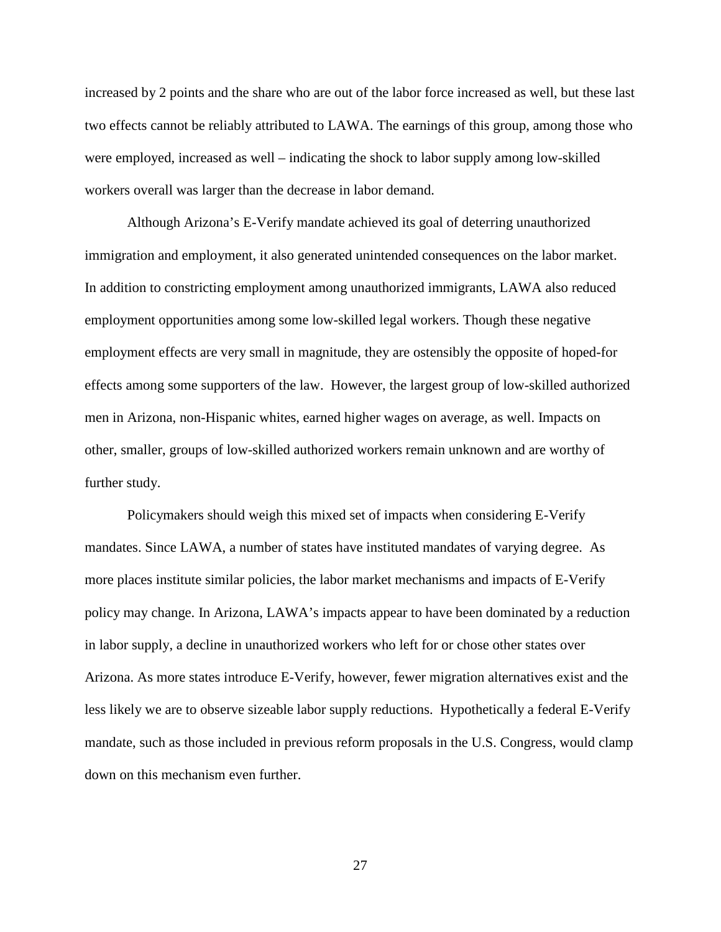increased by 2 points and the share who are out of the labor force increased as well, but these last two effects cannot be reliably attributed to LAWA. The earnings of this group, among those who were employed, increased as well – indicating the shock to labor supply among low-skilled workers overall was larger than the decrease in labor demand.

Although Arizona's E-Verify mandate achieved its goal of deterring unauthorized immigration and employment, it also generated unintended consequences on the labor market. In addition to constricting employment among unauthorized immigrants, LAWA also reduced employment opportunities among some low-skilled legal workers. Though these negative employment effects are very small in magnitude, they are ostensibly the opposite of hoped-for effects among some supporters of the law. However, the largest group of low-skilled authorized men in Arizona, non-Hispanic whites, earned higher wages on average, as well. Impacts on other, smaller, groups of low-skilled authorized workers remain unknown and are worthy of further study.

Policymakers should weigh this mixed set of impacts when considering E-Verify mandates. Since LAWA, a number of states have instituted mandates of varying degree. As more places institute similar policies, the labor market mechanisms and impacts of E-Verify policy may change. In Arizona, LAWA's impacts appear to have been dominated by a reduction in labor supply, a decline in unauthorized workers who left for or chose other states over Arizona. As more states introduce E-Verify, however, fewer migration alternatives exist and the less likely we are to observe sizeable labor supply reductions. Hypothetically a federal E-Verify mandate, such as those included in previous reform proposals in the U.S. Congress, would clamp down on this mechanism even further.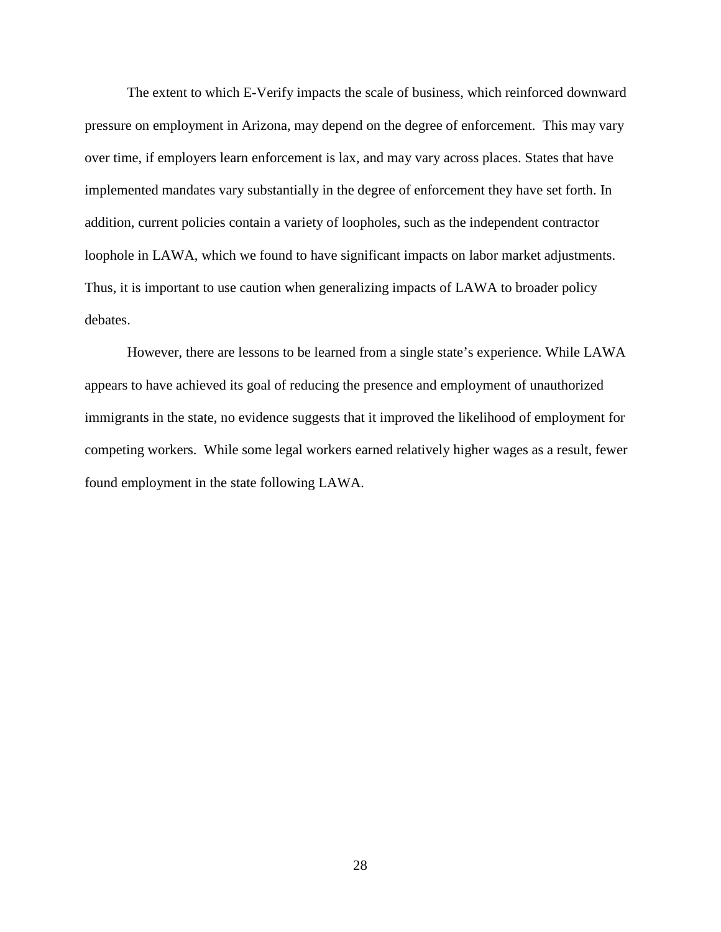The extent to which E-Verify impacts the scale of business, which reinforced downward pressure on employment in Arizona, may depend on the degree of enforcement. This may vary over time, if employers learn enforcement is lax, and may vary across places. States that have implemented mandates vary substantially in the degree of enforcement they have set forth. In addition, current policies contain a variety of loopholes, such as the independent contractor loophole in LAWA, which we found to have significant impacts on labor market adjustments. Thus, it is important to use caution when generalizing impacts of LAWA to broader policy debates.

However, there are lessons to be learned from a single state's experience. While LAWA appears to have achieved its goal of reducing the presence and employment of unauthorized immigrants in the state, no evidence suggests that it improved the likelihood of employment for competing workers. While some legal workers earned relatively higher wages as a result, fewer found employment in the state following LAWA.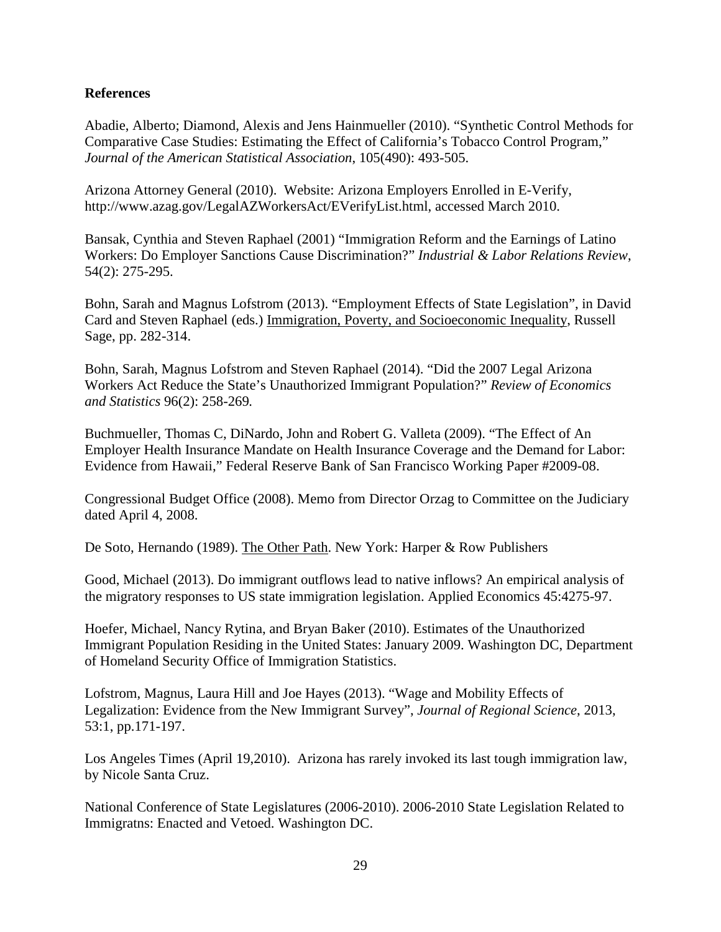## **References**

Abadie, Alberto; Diamond, Alexis and Jens Hainmueller (2010). "Synthetic Control Methods for Comparative Case Studies: Estimating the Effect of California's Tobacco Control Program," *Journal of the American Statistical Association*, 105(490): 493-505.

Arizona Attorney General (2010). Website: Arizona Employers Enrolled in E-Verify, http://www.azag.gov/LegalAZWorkersAct/EVerifyList.html, accessed March 2010.

Bansak, Cynthia and Steven Raphael (2001) "Immigration Reform and the Earnings of Latino Workers: Do Employer Sanctions Cause Discrimination?" *Industrial & Labor Relations Review*, 54(2): 275-295.

Bohn, Sarah and Magnus Lofstrom (2013). "Employment Effects of State Legislation", in David Card and Steven Raphael (eds.) Immigration, Poverty, and Socioeconomic Inequality, Russell Sage, pp. 282-314.

Bohn, Sarah, Magnus Lofstrom and Steven Raphael (2014). "Did the 2007 Legal Arizona Workers Act Reduce the State's Unauthorized Immigrant Population?" *Review of Economics and Statistics* 96(2): 258-269*.*

Buchmueller, Thomas C, DiNardo, John and Robert G. Valleta (2009). "The Effect of An Employer Health Insurance Mandate on Health Insurance Coverage and the Demand for Labor: Evidence from Hawaii," Federal Reserve Bank of San Francisco Working Paper #2009-08.

Congressional Budget Office (2008). Memo from Director Orzag to Committee on the Judiciary dated April 4, 2008.

De Soto, Hernando (1989). The Other Path. New York: Harper & Row Publishers

Good, Michael (2013). Do immigrant outflows lead to native inflows? An empirical analysis of the migratory responses to US state immigration legislation. Applied Economics 45:4275-97.

Hoefer, Michael, Nancy Rytina, and Bryan Baker (2010). Estimates of the Unauthorized Immigrant Population Residing in the United States: January 2009. Washington DC, Department of Homeland Security Office of Immigration Statistics.

Lofstrom, Magnus, Laura Hill and Joe Hayes (2013). "Wage and Mobility Effects of Legalization: Evidence from the New Immigrant Survey", *Journal of Regional Science*, 2013, 53:1, pp.171-197.

Los Angeles Times (April 19,2010). Arizona has rarely invoked its last tough immigration law, by Nicole Santa Cruz.

National Conference of State Legislatures (2006-2010). 2006-2010 State Legislation Related to Immigratns: Enacted and Vetoed. Washington DC.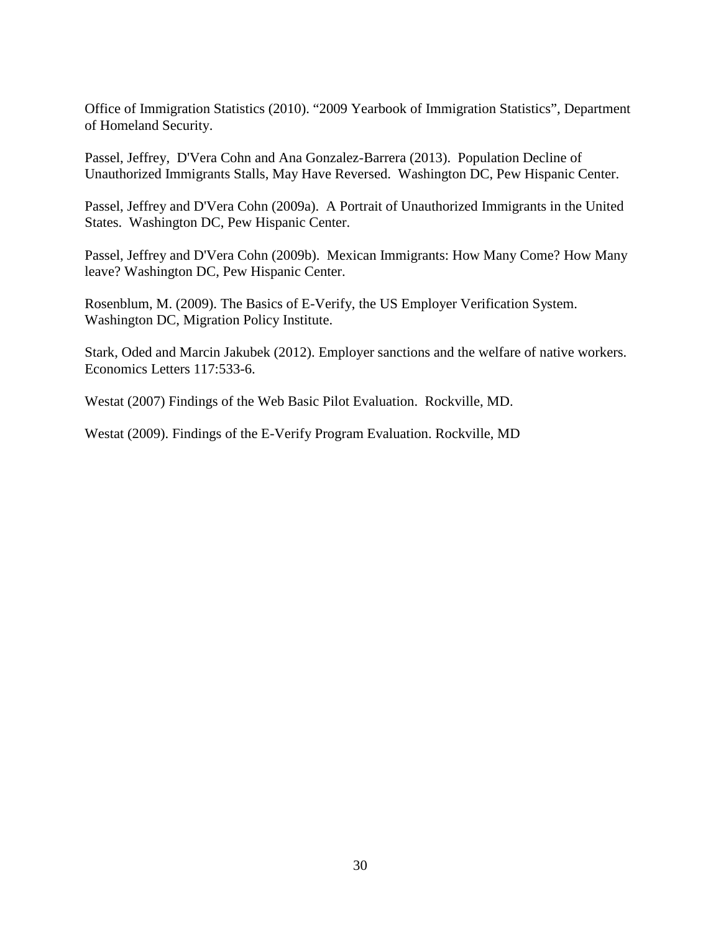Office of Immigration Statistics (2010). "2009 Yearbook of Immigration Statistics", Department of Homeland Security.

Passel, Jeffrey, D'Vera Cohn and Ana Gonzalez-Barrera (2013). Population Decline of Unauthorized Immigrants Stalls, May Have Reversed. Washington DC, Pew Hispanic Center.

Passel, Jeffrey and D'Vera Cohn (2009a). A Portrait of Unauthorized Immigrants in the United States. Washington DC, Pew Hispanic Center.

Passel, Jeffrey and D'Vera Cohn (2009b). Mexican Immigrants: How Many Come? How Many leave? Washington DC, Pew Hispanic Center.

Rosenblum, M. (2009). The Basics of E-Verify, the US Employer Verification System. Washington DC, Migration Policy Institute.

Stark, Oded and Marcin Jakubek (2012). Employer sanctions and the welfare of native workers. Economics Letters 117:533-6.

Westat (2007) Findings of the Web Basic Pilot Evaluation. Rockville, MD.

Westat (2009). Findings of the E-Verify Program Evaluation. Rockville, MD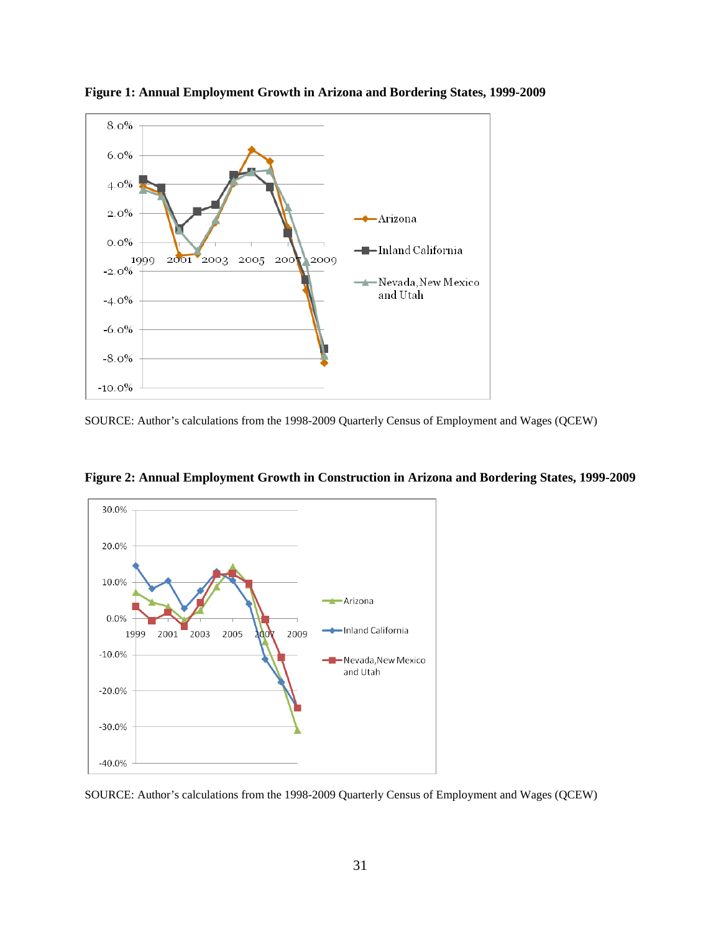

**Figure 1: Annual Employment Growth in Arizona and Bordering States, 1999-2009**

SOURCE: Author's calculations from the 1998-2009 Quarterly Census of Employment and Wages (QCEW)



**Figure 2: Annual Employment Growth in Construction in Arizona and Bordering States, 1999-2009**

SOURCE: Author's calculations from the 1998-2009 Quarterly Census of Employment and Wages (QCEW)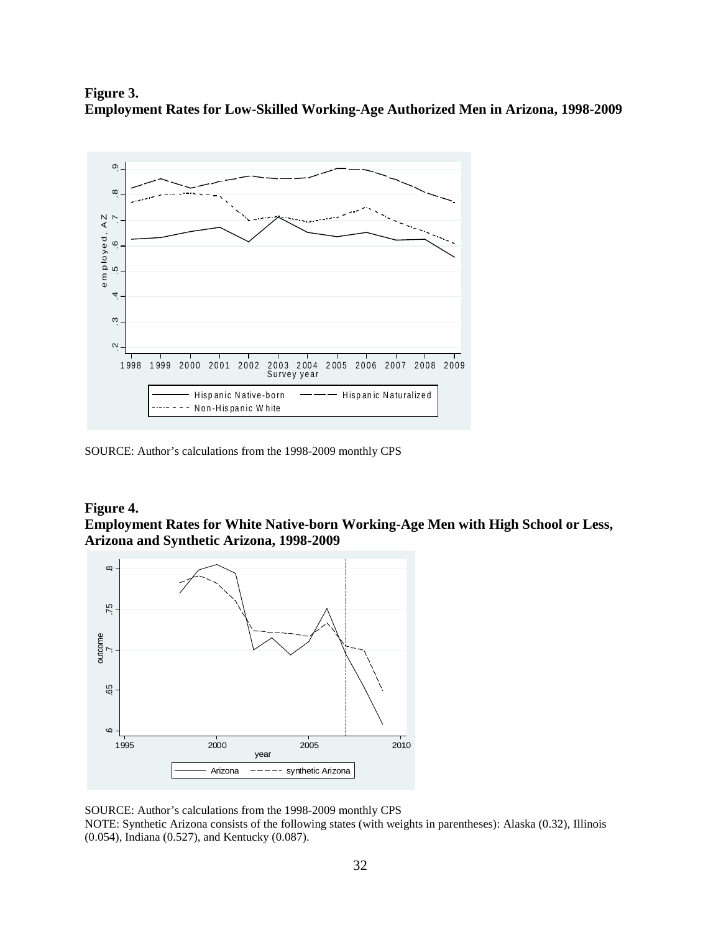**Figure 3. Employment Rates for Low-Skilled Working-Age Authorized Men in Arizona, 1998-2009**



SOURCE: Author's calculations from the 1998-2009 monthly CPS

## **Figure 4. Employment Rates for White Native-born Working-Age Men with High School or Less, Arizona and Synthetic Arizona, 1998-2009**



SOURCE: Author's calculations from the 1998-2009 monthly CPS

NOTE: Synthetic Arizona consists of the following states (with weights in parentheses): Alaska (0.32), Illinois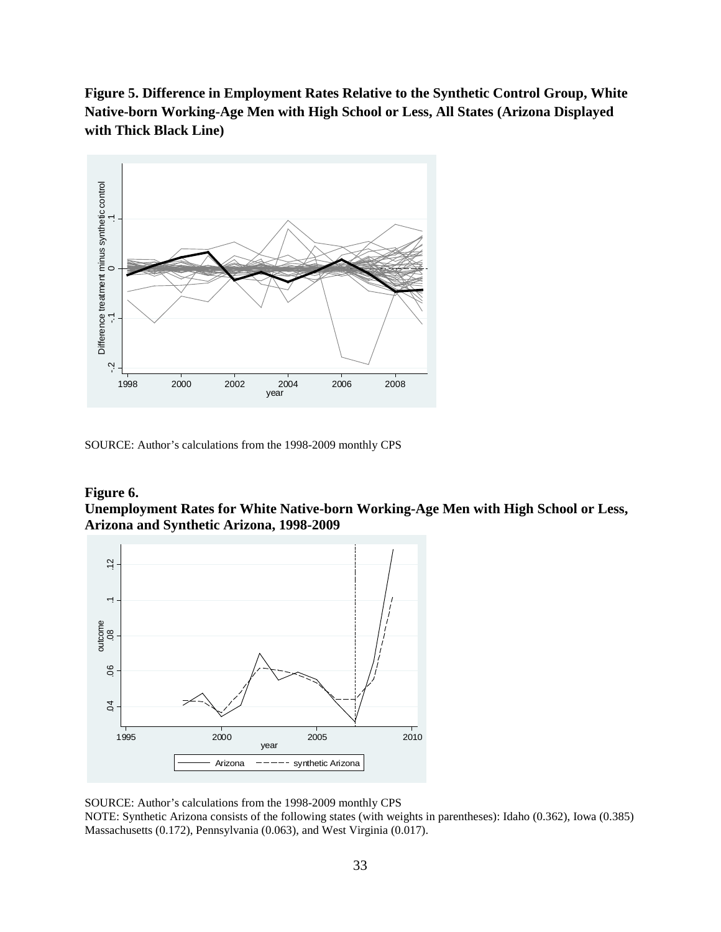**Figure 5. Difference in Employment Rates Relative to the Synthetic Control Group, White Native-born Working-Age Men with High School or Less, All States (Arizona Displayed with Thick Black Line)**



SOURCE: Author's calculations from the 1998-2009 monthly CPS

## **Figure 6. Unemployment Rates for White Native-born Working-Age Men with High School or Less, Arizona and Synthetic Arizona, 1998-2009**



SOURCE: Author's calculations from the 1998-2009 monthly CPS NOTE: Synthetic Arizona consists of the following states (with weights in parentheses): Idaho (0.362), Iowa (0.385)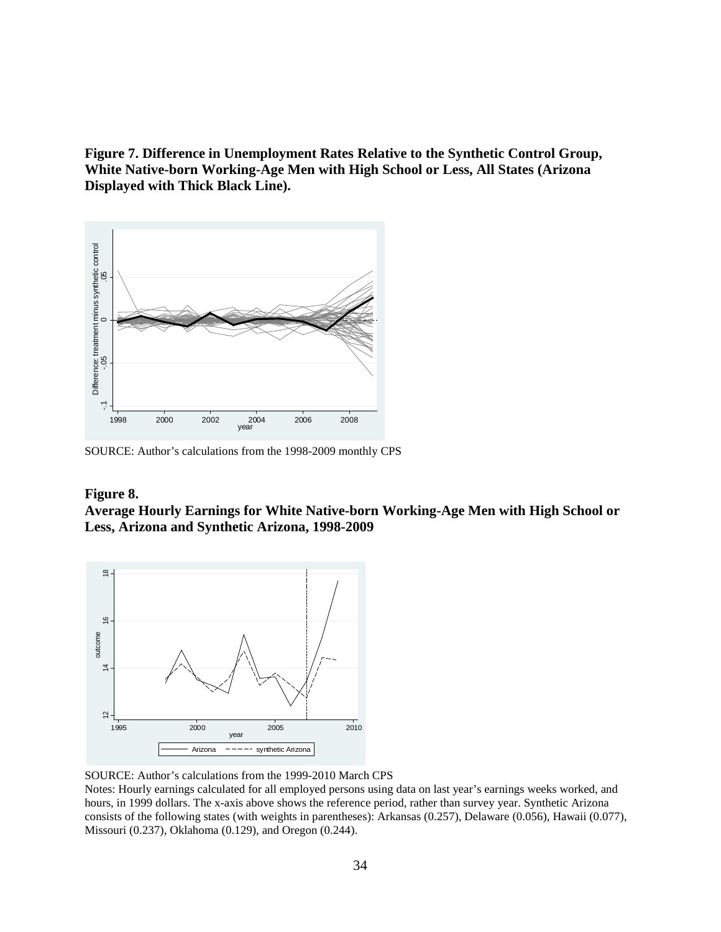**Figure 7. Difference in Unemployment Rates Relative to the Synthetic Control Group, White Native-born Working-Age Men with High School or Less, All States (Arizona Displayed with Thick Black Line).**



SOURCE: Author's calculations from the 1998-2009 monthly CPS

#### **Figure 8.**

**Average Hourly Earnings for White Native-born Working-Age Men with High School or Less, Arizona and Synthetic Arizona, 1998-2009**



SOURCE: Author's calculations from the 1999-2010 March CPS

Notes: Hourly earnings calculated for all employed persons using data on last year's earnings weeks worked, and hours, in 1999 dollars. The x-axis above shows the reference period, rather than survey year. Synthetic Arizona consists of the following states (with weights in parentheses): Arkansas (0.257), Delaware (0.056), Hawaii (0.077),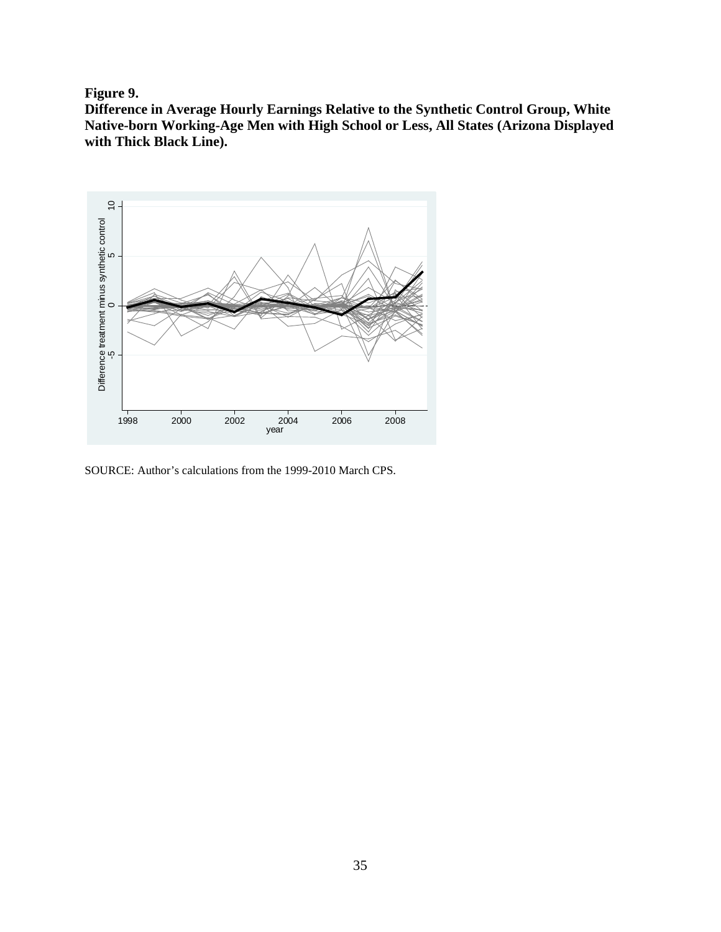**Figure 9.**

**Difference in Average Hourly Earnings Relative to the Synthetic Control Group, White Native-born Working-Age Men with High School or Less, All States (Arizona Displayed with Thick Black Line).**

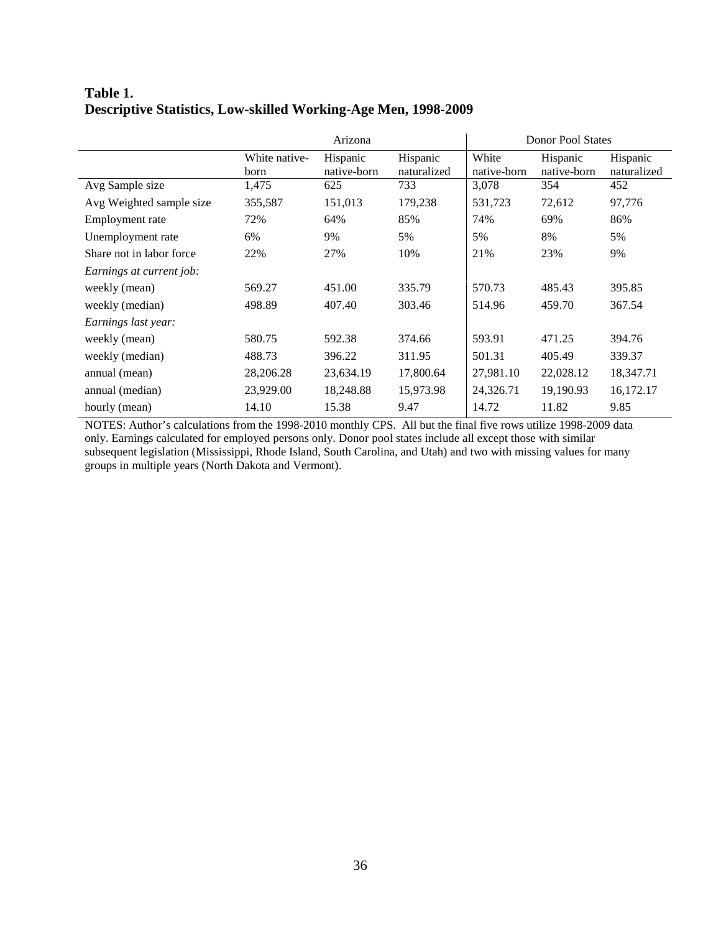# **Table 1. Descriptive Statistics, Low-skilled Working-Age Men, 1998-2009**

|                          | Arizona               |                         |                         | <b>Donor Pool States</b> |                         |                         |
|--------------------------|-----------------------|-------------------------|-------------------------|--------------------------|-------------------------|-------------------------|
|                          | White native-<br>born | Hispanic<br>native-born | Hispanic<br>naturalized | White<br>native-born     | Hispanic<br>native-born | Hispanic<br>naturalized |
| Avg Sample size          | 1,475                 | 625                     | 733                     | 3,078                    | 354                     | 452                     |
| Avg Weighted sample size | 355,587               | 151,013                 | 179,238                 | 531,723                  | 72,612                  | 97,776                  |
| Employment rate          | 72%                   | 64%                     | 85%                     | 74%                      | 69%                     | 86%                     |
| Unemployment rate        | 6%                    | 9%                      | 5%                      | 5%                       | 8%                      | 5%                      |
| Share not in labor force | 22%                   | 27%                     | 10%                     | 21%                      | 23%                     | 9%                      |
| Earnings at current job: |                       |                         |                         |                          |                         |                         |
| weekly (mean)            | 569.27                | 451.00                  | 335.79                  | 570.73                   | 485.43                  | 395.85                  |
| weekly (median)          | 498.89                | 407.40                  | 303.46                  | 514.96                   | 459.70                  | 367.54                  |
| Earnings last year:      |                       |                         |                         |                          |                         |                         |
| weekly (mean)            | 580.75                | 592.38                  | 374.66                  | 593.91                   | 471.25                  | 394.76                  |
| weekly (median)          | 488.73                | 396.22                  | 311.95                  | 501.31                   | 405.49                  | 339.37                  |
| annual (mean)            | 28,206.28             | 23,634.19               | 17,800.64               | 27,981.10                | 22,028.12               | 18,347.71               |
| annual (median)          | 23,929.00             | 18,248.88               | 15,973.98               | 24,326.71                | 19,190.93               | 16,172.17               |
| hourly (mean)            | 14.10                 | 15.38                   | 9.47                    | 14.72                    | 11.82                   | 9.85                    |

NOTES: Author's calculations from the 1998-2010 monthly CPS. All but the final five rows utilize 1998-2009 data only. Earnings calculated for employed persons only. Donor pool states include all except those with similar subsequent legislation (Mississippi, Rhode Island, South Carolina, and Utah) and two with missing values for many groups in multiple years (North Dakota and Vermont).